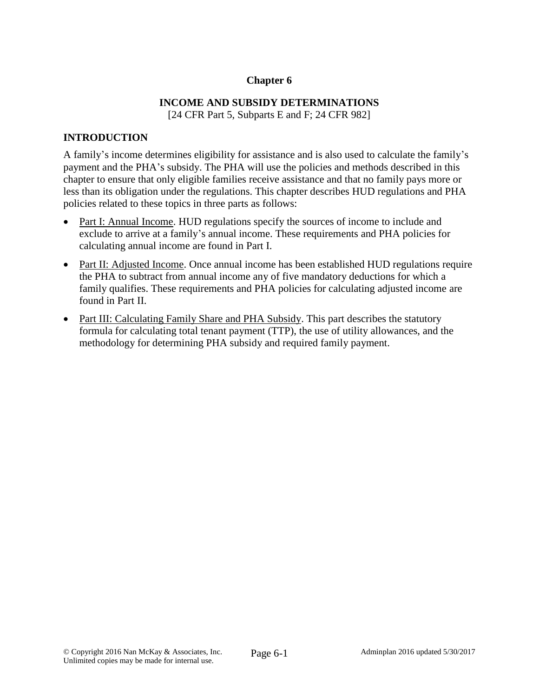## **Chapter 6**

# **INCOME AND SUBSIDY DETERMINATIONS**

[24 CFR Part 5, Subparts E and F; 24 CFR 982]

### **INTRODUCTION**

A family's income determines eligibility for assistance and is also used to calculate the family's payment and the PHA's subsidy. The PHA will use the policies and methods described in this chapter to ensure that only eligible families receive assistance and that no family pays more or less than its obligation under the regulations. This chapter describes HUD regulations and PHA policies related to these topics in three parts as follows:

- Part I: Annual Income. HUD regulations specify the sources of income to include and exclude to arrive at a family's annual income. These requirements and PHA policies for calculating annual income are found in Part I.
- Part II: Adjusted Income. Once annual income has been established HUD regulations require the PHA to subtract from annual income any of five mandatory deductions for which a family qualifies. These requirements and PHA policies for calculating adjusted income are found in Part II.
- Part III: Calculating Family Share and PHA Subsidy. This part describes the statutory formula for calculating total tenant payment (TTP), the use of utility allowances, and the methodology for determining PHA subsidy and required family payment.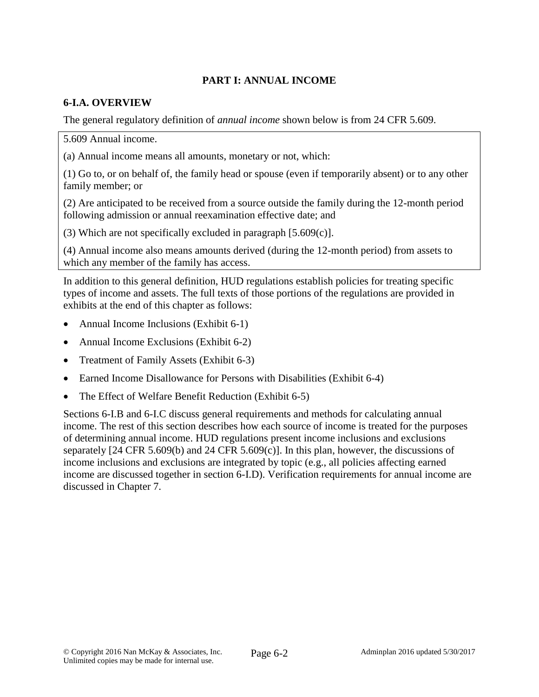# **PART I: ANNUAL INCOME**

# **6-I.A. OVERVIEW**

The general regulatory definition of *annual income* shown below is from 24 CFR 5.609.

5.609 Annual income.

(a) Annual income means all amounts, monetary or not, which:

(1) Go to, or on behalf of, the family head or spouse (even if temporarily absent) or to any other family member; or

(2) Are anticipated to be received from a source outside the family during the 12-month period following admission or annual reexamination effective date; and

(3) Which are not specifically excluded in paragraph [5.609(c)].

(4) Annual income also means amounts derived (during the 12-month period) from assets to which any member of the family has access.

In addition to this general definition, HUD regulations establish policies for treating specific types of income and assets. The full texts of those portions of the regulations are provided in exhibits at the end of this chapter as follows:

- Annual Income Inclusions (Exhibit 6-1)
- Annual Income Exclusions (Exhibit 6-2)
- Treatment of Family Assets (Exhibit 6-3)
- Earned Income Disallowance for Persons with Disabilities (Exhibit 6-4)
- The Effect of Welfare Benefit Reduction (Exhibit 6-5)

Sections 6-I.B and 6-I.C discuss general requirements and methods for calculating annual income. The rest of this section describes how each source of income is treated for the purposes of determining annual income. HUD regulations present income inclusions and exclusions separately [24 CFR 5.609(b) and 24 CFR 5.609(c)]. In this plan, however, the discussions of income inclusions and exclusions are integrated by topic (e.g., all policies affecting earned income are discussed together in section 6-I.D). Verification requirements for annual income are discussed in Chapter 7.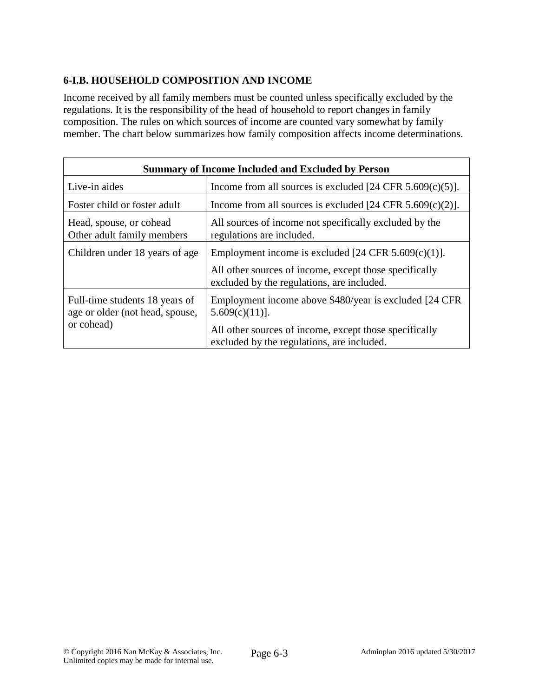# **6-I.B. HOUSEHOLD COMPOSITION AND INCOME**

Income received by all family members must be counted unless specifically excluded by the regulations. It is the responsibility of the head of household to report changes in family composition. The rules on which sources of income are counted vary somewhat by family member. The chart below summarizes how family composition affects income determinations.

| <b>Summary of Income Included and Excluded by Person</b>                        |                                                                                                      |  |  |
|---------------------------------------------------------------------------------|------------------------------------------------------------------------------------------------------|--|--|
| Live-in aides                                                                   | Income from all sources is excluded $[24 \text{ CFR } 5.609(c)(5)].$                                 |  |  |
| Foster child or foster adult                                                    | Income from all sources is excluded $[24 \text{ CFR } 5.609(c)(2)].$                                 |  |  |
| Head, spouse, or cohead<br>Other adult family members                           | All sources of income not specifically excluded by the<br>regulations are included.                  |  |  |
| Children under 18 years of age                                                  | Employment income is excluded $[24 \text{ CFR } 5.609(c)(1)].$                                       |  |  |
|                                                                                 | All other sources of income, except those specifically<br>excluded by the regulations, are included. |  |  |
| Full-time students 18 years of<br>age or older (not head, spouse,<br>or cohead) | Employment income above \$480/year is excluded [24 CFR]<br>$5.609(c)(11)$ ].                         |  |  |
|                                                                                 | All other sources of income, except those specifically<br>excluded by the regulations, are included. |  |  |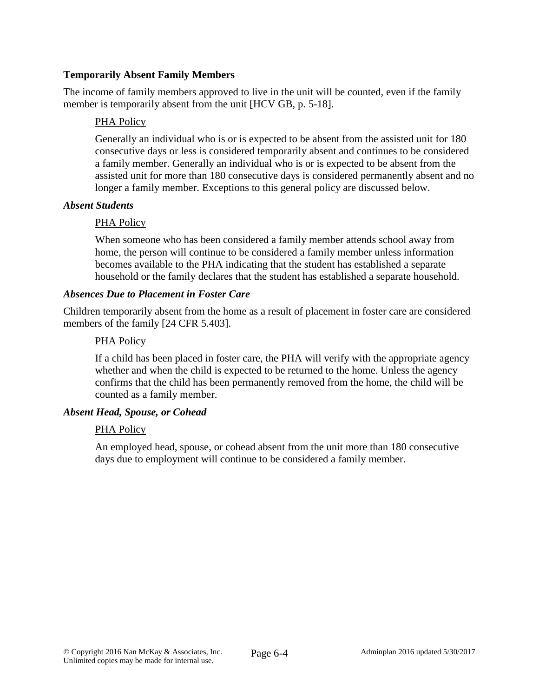### **Temporarily Absent Family Members**

The income of family members approved to live in the unit will be counted, even if the family member is temporarily absent from the unit [HCV GB, p. 5-18].

#### PHA Policy

Generally an individual who is or is expected to be absent from the assisted unit for 180 consecutive days or less is considered temporarily absent and continues to be considered a family member. Generally an individual who is or is expected to be absent from the assisted unit for more than 180 consecutive days is considered permanently absent and no longer a family member. Exceptions to this general policy are discussed below.

#### *Absent Students*

#### PHA Policy

When someone who has been considered a family member attends school away from home, the person will continue to be considered a family member unless information becomes available to the PHA indicating that the student has established a separate household or the family declares that the student has established a separate household.

#### *Absences Due to Placement in Foster Care*

Children temporarily absent from the home as a result of placement in foster care are considered members of the family [24 CFR 5.403].

#### PHA Policy

If a child has been placed in foster care, the PHA will verify with the appropriate agency whether and when the child is expected to be returned to the home. Unless the agency confirms that the child has been permanently removed from the home, the child will be counted as a family member.

### *Absent Head, Spouse, or Cohead*

#### PHA Policy

An employed head, spouse, or cohead absent from the unit more than 180 consecutive days due to employment will continue to be considered a family member.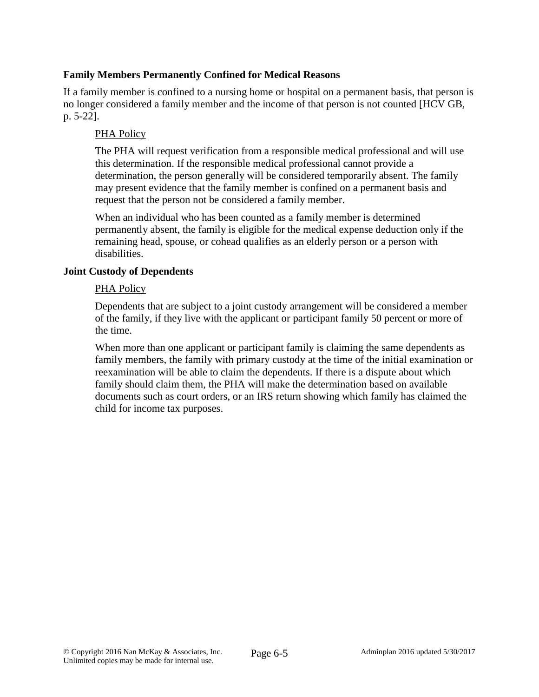### **Family Members Permanently Confined for Medical Reasons**

If a family member is confined to a nursing home or hospital on a permanent basis, that person is no longer considered a family member and the income of that person is not counted [HCV GB, p. 5-22].

## PHA Policy

The PHA will request verification from a responsible medical professional and will use this determination. If the responsible medical professional cannot provide a determination, the person generally will be considered temporarily absent. The family may present evidence that the family member is confined on a permanent basis and request that the person not be considered a family member.

When an individual who has been counted as a family member is determined permanently absent, the family is eligible for the medical expense deduction only if the remaining head, spouse, or cohead qualifies as an elderly person or a person with disabilities.

### **Joint Custody of Dependents**

#### PHA Policy

Dependents that are subject to a joint custody arrangement will be considered a member of the family, if they live with the applicant or participant family 50 percent or more of the time.

When more than one applicant or participant family is claiming the same dependents as family members, the family with primary custody at the time of the initial examination or reexamination will be able to claim the dependents. If there is a dispute about which family should claim them, the PHA will make the determination based on available documents such as court orders, or an IRS return showing which family has claimed the child for income tax purposes.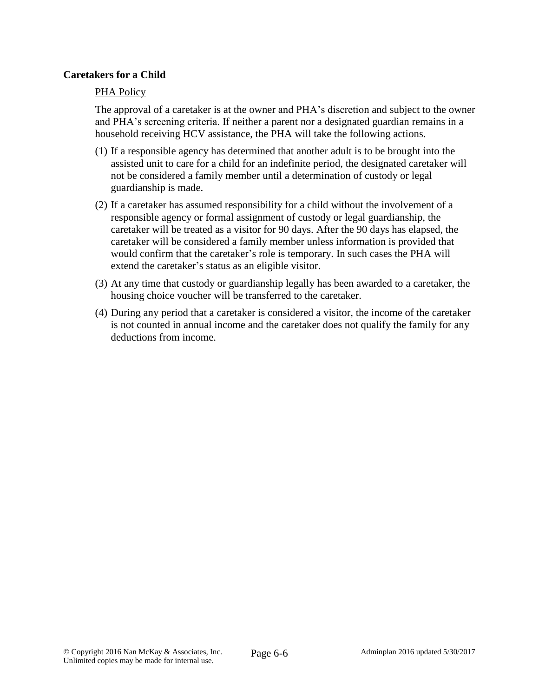#### **Caretakers for a Child**

#### PHA Policy

The approval of a caretaker is at the owner and PHA's discretion and subject to the owner and PHA's screening criteria. If neither a parent nor a designated guardian remains in a household receiving HCV assistance, the PHA will take the following actions.

- (1) If a responsible agency has determined that another adult is to be brought into the assisted unit to care for a child for an indefinite period, the designated caretaker will not be considered a family member until a determination of custody or legal guardianship is made.
- (2) If a caretaker has assumed responsibility for a child without the involvement of a responsible agency or formal assignment of custody or legal guardianship, the caretaker will be treated as a visitor for 90 days. After the 90 days has elapsed, the caretaker will be considered a family member unless information is provided that would confirm that the caretaker's role is temporary. In such cases the PHA will extend the caretaker's status as an eligible visitor.
- (3) At any time that custody or guardianship legally has been awarded to a caretaker, the housing choice voucher will be transferred to the caretaker.
- (4) During any period that a caretaker is considered a visitor, the income of the caretaker is not counted in annual income and the caretaker does not qualify the family for any deductions from income.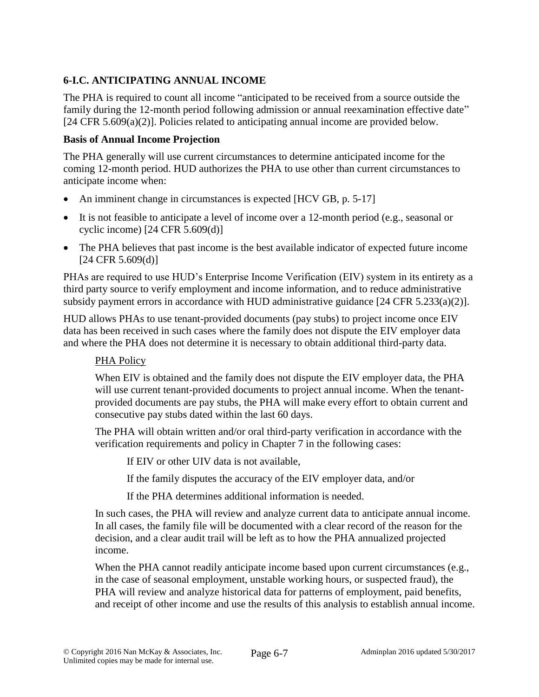# **6-I.C. ANTICIPATING ANNUAL INCOME**

The PHA is required to count all income "anticipated to be received from a source outside the family during the 12-month period following admission or annual reexamination effective date" [24 CFR 5.609(a)(2)]. Policies related to anticipating annual income are provided below.

## **Basis of Annual Income Projection**

The PHA generally will use current circumstances to determine anticipated income for the coming 12-month period. HUD authorizes the PHA to use other than current circumstances to anticipate income when:

- An imminent change in circumstances is expected [HCV GB, p. 5-17]
- It is not feasible to anticipate a level of income over a 12-month period (e.g., seasonal or cyclic income) [24 CFR 5.609(d)]
- The PHA believes that past income is the best available indicator of expected future income  $[24 \text{ CFR } 5.609(d)]$

PHAs are required to use HUD's Enterprise Income Verification (EIV) system in its entirety as a third party source to verify employment and income information, and to reduce administrative subsidy payment errors in accordance with HUD administrative guidance [24 CFR 5.233(a)(2)].

HUD allows PHAs to use tenant-provided documents (pay stubs) to project income once EIV data has been received in such cases where the family does not dispute the EIV employer data and where the PHA does not determine it is necessary to obtain additional third-party data.

# PHA Policy

When EIV is obtained and the family does not dispute the EIV employer data, the PHA will use current tenant-provided documents to project annual income. When the tenantprovided documents are pay stubs, the PHA will make every effort to obtain current and consecutive pay stubs dated within the last 60 days.

The PHA will obtain written and/or oral third-party verification in accordance with the verification requirements and policy in Chapter 7 in the following cases:

If EIV or other UIV data is not available,

If the family disputes the accuracy of the EIV employer data, and/or

If the PHA determines additional information is needed.

In such cases, the PHA will review and analyze current data to anticipate annual income. In all cases, the family file will be documented with a clear record of the reason for the decision, and a clear audit trail will be left as to how the PHA annualized projected income.

When the PHA cannot readily anticipate income based upon current circumstances (e.g., in the case of seasonal employment, unstable working hours, or suspected fraud), the PHA will review and analyze historical data for patterns of employment, paid benefits, and receipt of other income and use the results of this analysis to establish annual income.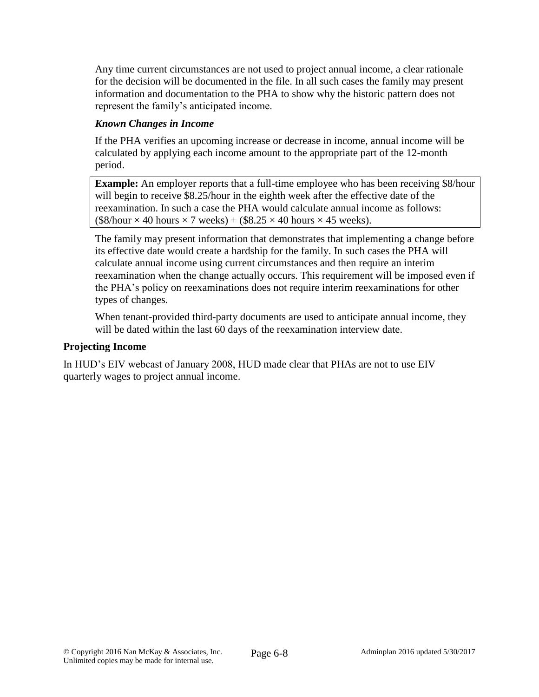Any time current circumstances are not used to project annual income, a clear rationale for the decision will be documented in the file. In all such cases the family may present information and documentation to the PHA to show why the historic pattern does not represent the family's anticipated income.

# *Known Changes in Income*

If the PHA verifies an upcoming increase or decrease in income, annual income will be calculated by applying each income amount to the appropriate part of the 12-month period.

**Example:** An employer reports that a full-time employee who has been receiving \$8/hour will begin to receive \$8.25/hour in the eighth week after the effective date of the reexamination. In such a case the PHA would calculate annual income as follows:  $($8/hour \times 40 hours \times 7 weeks) + ($8.25 \times 40 hours \times 45 weeks).$ 

The family may present information that demonstrates that implementing a change before its effective date would create a hardship for the family. In such cases the PHA will calculate annual income using current circumstances and then require an interim reexamination when the change actually occurs. This requirement will be imposed even if the PHA's policy on reexaminations does not require interim reexaminations for other types of changes.

When tenant-provided third-party documents are used to anticipate annual income, they will be dated within the last 60 days of the reexamination interview date.

#### **Projecting Income**

In HUD's EIV webcast of January 2008, HUD made clear that PHAs are not to use EIV quarterly wages to project annual income.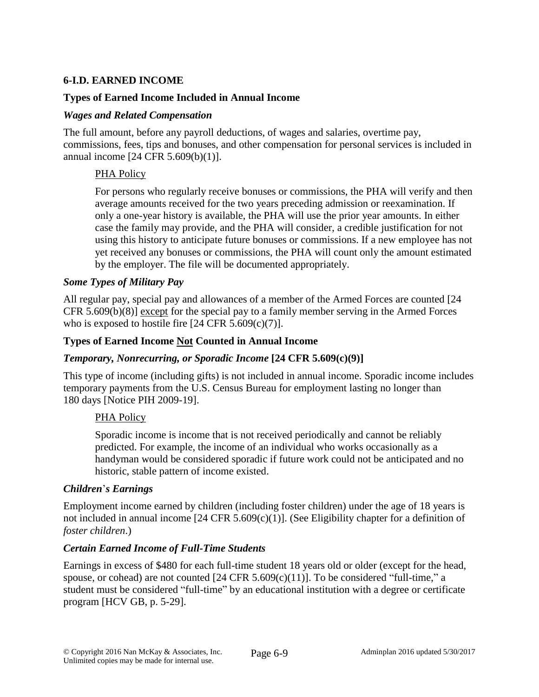## **6-I.D. EARNED INCOME**

### **Types of Earned Income Included in Annual Income**

#### *Wages and Related Compensation*

The full amount, before any payroll deductions, of wages and salaries, overtime pay, commissions, fees, tips and bonuses, and other compensation for personal services is included in annual income [24 CFR 5.609(b)(1)].

### PHA Policy

For persons who regularly receive bonuses or commissions, the PHA will verify and then average amounts received for the two years preceding admission or reexamination. If only a one-year history is available, the PHA will use the prior year amounts. In either case the family may provide, and the PHA will consider, a credible justification for not using this history to anticipate future bonuses or commissions. If a new employee has not yet received any bonuses or commissions, the PHA will count only the amount estimated by the employer. The file will be documented appropriately.

#### *Some Types of Military Pay*

All regular pay, special pay and allowances of a member of the Armed Forces are counted [24 CFR 5.609(b)(8)] except for the special pay to a family member serving in the Armed Forces who is exposed to hostile fire  $[24 \text{ CFR } 5.609(c)(7)]$ .

#### **Types of Earned Income Not Counted in Annual Income**

### *Temporary, Nonrecurring, or Sporadic Income* **[24 CFR 5.609(c)(9)]**

This type of income (including gifts) is not included in annual income. Sporadic income includes temporary payments from the U.S. Census Bureau for employment lasting no longer than 180 days [Notice PIH 2009-19].

### PHA Policy

Sporadic income is income that is not received periodically and cannot be reliably predicted. For example, the income of an individual who works occasionally as a handyman would be considered sporadic if future work could not be anticipated and no historic, stable pattern of income existed.

#### *Children*'*s Earnings*

Employment income earned by children (including foster children) under the age of 18 years is not included in annual income [24 CFR 5.609(c)(1)]. (See Eligibility chapter for a definition of *foster children*.)

#### *Certain Earned Income of Full-Time Students*

Earnings in excess of \$480 for each full-time student 18 years old or older (except for the head, spouse, or cohead) are not counted  $[24 \text{ CFR } 5.609(c)(11)]$ . To be considered "full-time," a student must be considered "full-time" by an educational institution with a degree or certificate program [HCV GB, p. 5-29].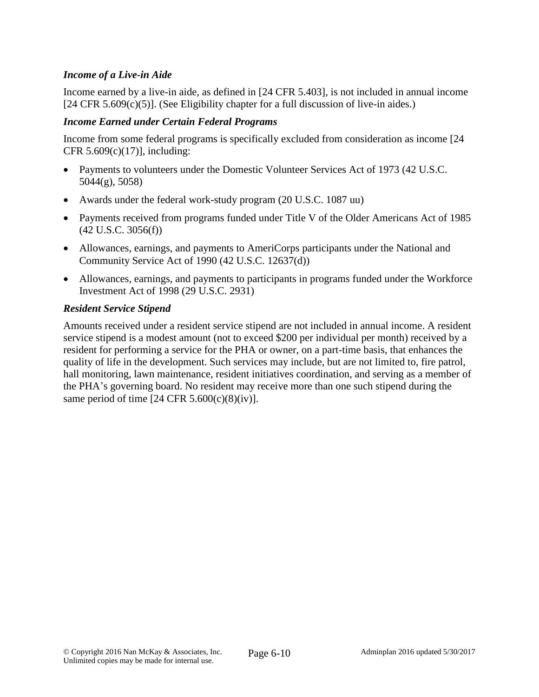### *Income of a Live-in Aide*

Income earned by a live-in aide, as defined in [24 CFR 5.403], is not included in annual income  $[24 \text{ CFR } 5.609(c)(5)]$ . (See Eligibility chapter for a full discussion of live-in aides.)

#### *Income Earned under Certain Federal Programs*

Income from some federal programs is specifically excluded from consideration as income [24 CFR  $5.609(c)(17)$ ], including:

- Payments to volunteers under the Domestic Volunteer Services Act of 1973 (42 U.S.C. 5044(g), 5058)
- Awards under the federal work-study program (20 U.S.C. 1087 uu)
- Payments received from programs funded under Title V of the Older Americans Act of 1985 (42 U.S.C. 3056(f))
- Allowances, earnings, and payments to AmeriCorps participants under the National and Community Service Act of 1990 (42 U.S.C. 12637(d))
- Allowances, earnings, and payments to participants in programs funded under the Workforce Investment Act of 1998 (29 U.S.C. 2931)

#### *Resident Service Stipend*

Amounts received under a resident service stipend are not included in annual income. A resident service stipend is a modest amount (not to exceed \$200 per individual per month) received by a resident for performing a service for the PHA or owner, on a part-time basis, that enhances the quality of life in the development. Such services may include, but are not limited to, fire patrol, hall monitoring, lawn maintenance, resident initiatives coordination, and serving as a member of the PHA's governing board. No resident may receive more than one such stipend during the same period of time  $[24 \text{ CFR } 5.600(c)(8)(iv)].$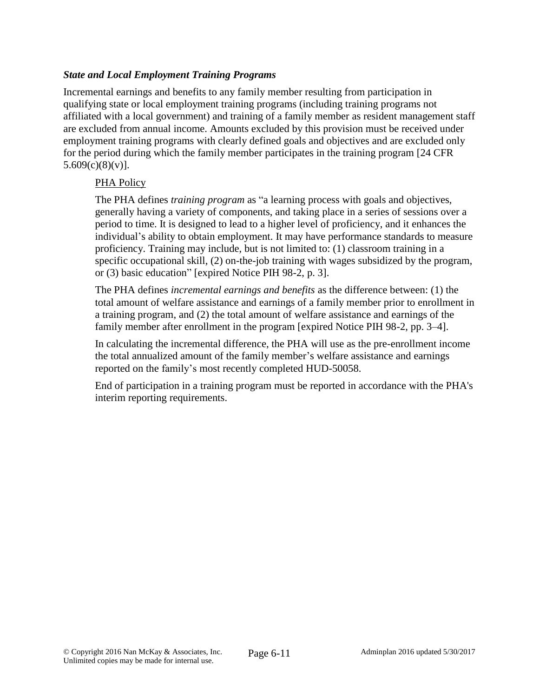## *State and Local Employment Training Programs*

Incremental earnings and benefits to any family member resulting from participation in qualifying state or local employment training programs (including training programs not affiliated with a local government) and training of a family member as resident management staff are excluded from annual income. Amounts excluded by this provision must be received under employment training programs with clearly defined goals and objectives and are excluded only for the period during which the family member participates in the training program [24 CFR  $5.609(c)(8)(v)$ ].

### PHA Policy

The PHA defines *training program* as "a learning process with goals and objectives, generally having a variety of components, and taking place in a series of sessions over a period to time. It is designed to lead to a higher level of proficiency, and it enhances the individual's ability to obtain employment. It may have performance standards to measure proficiency. Training may include, but is not limited to: (1) classroom training in a specific occupational skill, (2) on-the-job training with wages subsidized by the program, or (3) basic education" [expired Notice PIH 98-2, p. 3].

The PHA defines *incremental earnings and benefits* as the difference between: (1) the total amount of welfare assistance and earnings of a family member prior to enrollment in a training program, and (2) the total amount of welfare assistance and earnings of the family member after enrollment in the program [expired Notice PIH 98-2, pp. 3–4].

In calculating the incremental difference, the PHA will use as the pre-enrollment income the total annualized amount of the family member's welfare assistance and earnings reported on the family's most recently completed HUD-50058.

End of participation in a training program must be reported in accordance with the PHA's interim reporting requirements.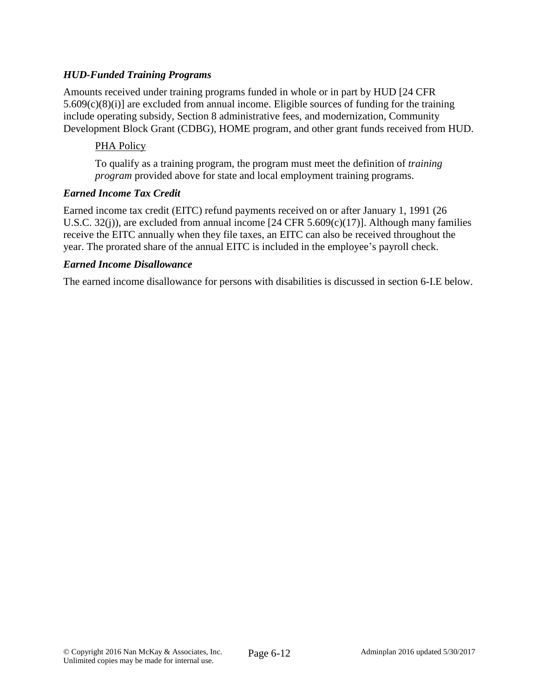## *HUD-Funded Training Programs*

Amounts received under training programs funded in whole or in part by HUD [24 CFR 5.609(c)(8)(i)] are excluded from annual income. Eligible sources of funding for the training include operating subsidy, Section 8 administrative fees, and modernization, Community Development Block Grant (CDBG), HOME program, and other grant funds received from HUD.

#### PHA Policy

To qualify as a training program, the program must meet the definition of *training program* provided above for state and local employment training programs.

#### *Earned Income Tax Credit*

Earned income tax credit (EITC) refund payments received on or after January 1, 1991 (26 U.S.C. 32(j)), are excluded from annual income [24 CFR 5.609(c)(17)]. Although many families receive the EITC annually when they file taxes, an EITC can also be received throughout the year. The prorated share of the annual EITC is included in the employee's payroll check.

#### *Earned Income Disallowance*

The earned income disallowance for persons with disabilities is discussed in section 6-I.E below.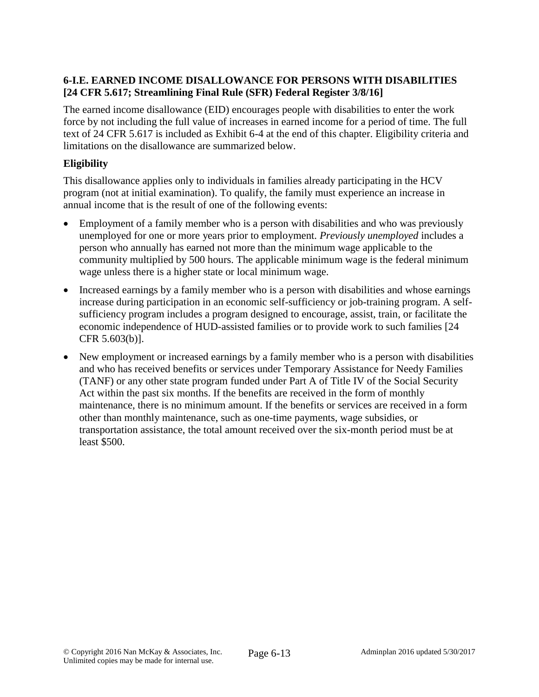## **6-I.E. EARNED INCOME DISALLOWANCE FOR PERSONS WITH DISABILITIES [24 CFR 5.617; Streamlining Final Rule (SFR) Federal Register 3/8/16]**

The earned income disallowance (EID) encourages people with disabilities to enter the work force by not including the full value of increases in earned income for a period of time. The full text of 24 CFR 5.617 is included as Exhibit 6-4 at the end of this chapter. Eligibility criteria and limitations on the disallowance are summarized below.

# **Eligibility**

This disallowance applies only to individuals in families already participating in the HCV program (not at initial examination). To qualify, the family must experience an increase in annual income that is the result of one of the following events:

- Employment of a family member who is a person with disabilities and who was previously unemployed for one or more years prior to employment. *Previously unemployed* includes a person who annually has earned not more than the minimum wage applicable to the community multiplied by 500 hours. The applicable minimum wage is the federal minimum wage unless there is a higher state or local minimum wage.
- Increased earnings by a family member who is a person with disabilities and whose earnings increase during participation in an economic self-sufficiency or job-training program. A selfsufficiency program includes a program designed to encourage, assist, train, or facilitate the economic independence of HUD-assisted families or to provide work to such families [24 CFR 5.603(b)].
- New employment or increased earnings by a family member who is a person with disabilities and who has received benefits or services under Temporary Assistance for Needy Families (TANF) or any other state program funded under Part A of Title IV of the Social Security Act within the past six months. If the benefits are received in the form of monthly maintenance, there is no minimum amount. If the benefits or services are received in a form other than monthly maintenance, such as one-time payments, wage subsidies, or transportation assistance, the total amount received over the six-month period must be at least \$500.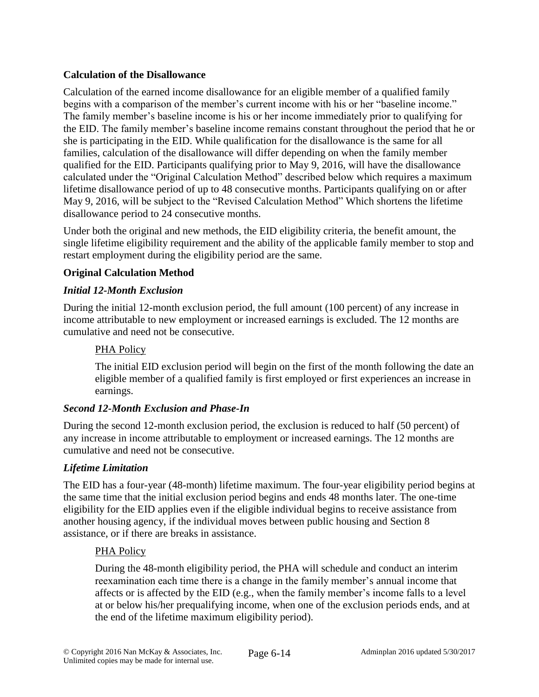## **Calculation of the Disallowance**

Calculation of the earned income disallowance for an eligible member of a qualified family begins with a comparison of the member's current income with his or her "baseline income." The family member's baseline income is his or her income immediately prior to qualifying for the EID. The family member's baseline income remains constant throughout the period that he or she is participating in the EID. While qualification for the disallowance is the same for all families, calculation of the disallowance will differ depending on when the family member qualified for the EID. Participants qualifying prior to May 9, 2016, will have the disallowance calculated under the "Original Calculation Method" described below which requires a maximum lifetime disallowance period of up to 48 consecutive months. Participants qualifying on or after May 9, 2016, will be subject to the "Revised Calculation Method" Which shortens the lifetime disallowance period to 24 consecutive months.

Under both the original and new methods, the EID eligibility criteria, the benefit amount, the single lifetime eligibility requirement and the ability of the applicable family member to stop and restart employment during the eligibility period are the same.

## **Original Calculation Method**

### *Initial 12-Month Exclusion*

During the initial 12-month exclusion period, the full amount (100 percent) of any increase in income attributable to new employment or increased earnings is excluded. The 12 months are cumulative and need not be consecutive.

#### PHA Policy

The initial EID exclusion period will begin on the first of the month following the date an eligible member of a qualified family is first employed or first experiences an increase in earnings.

### *Second 12-Month Exclusion and Phase-In*

During the second 12-month exclusion period, the exclusion is reduced to half (50 percent) of any increase in income attributable to employment or increased earnings. The 12 months are cumulative and need not be consecutive.

### *Lifetime Limitation*

The EID has a four-year (48-month) lifetime maximum. The four-year eligibility period begins at the same time that the initial exclusion period begins and ends 48 months later. The one-time eligibility for the EID applies even if the eligible individual begins to receive assistance from another housing agency, if the individual moves between public housing and Section 8 assistance, or if there are breaks in assistance.

#### PHA Policy

During the 48-month eligibility period, the PHA will schedule and conduct an interim reexamination each time there is a change in the family member's annual income that affects or is affected by the EID (e.g., when the family member's income falls to a level at or below his/her prequalifying income, when one of the exclusion periods ends, and at the end of the lifetime maximum eligibility period).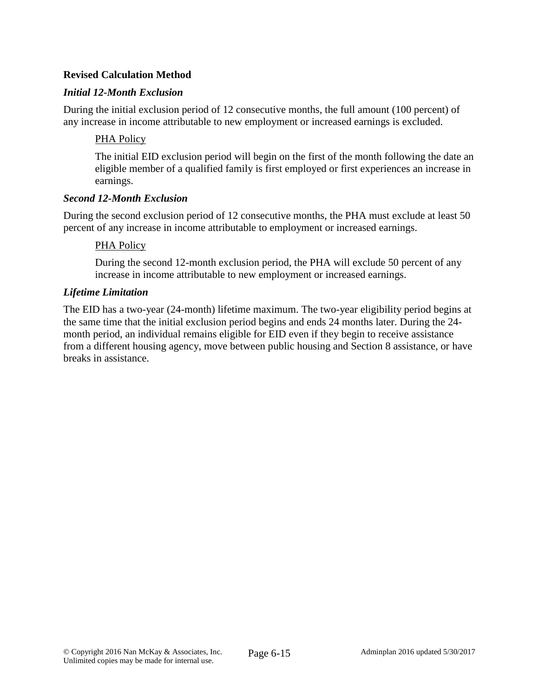### **Revised Calculation Method**

### *Initial 12-Month Exclusion*

During the initial exclusion period of 12 consecutive months, the full amount (100 percent) of any increase in income attributable to new employment or increased earnings is excluded.

#### PHA Policy

The initial EID exclusion period will begin on the first of the month following the date an eligible member of a qualified family is first employed or first experiences an increase in earnings.

#### *Second 12-Month Exclusion*

During the second exclusion period of 12 consecutive months, the PHA must exclude at least 50 percent of any increase in income attributable to employment or increased earnings.

#### PHA Policy

During the second 12-month exclusion period, the PHA will exclude 50 percent of any increase in income attributable to new employment or increased earnings.

#### *Lifetime Limitation*

The EID has a two-year (24-month) lifetime maximum. The two-year eligibility period begins at the same time that the initial exclusion period begins and ends 24 months later. During the 24 month period, an individual remains eligible for EID even if they begin to receive assistance from a different housing agency, move between public housing and Section 8 assistance, or have breaks in assistance.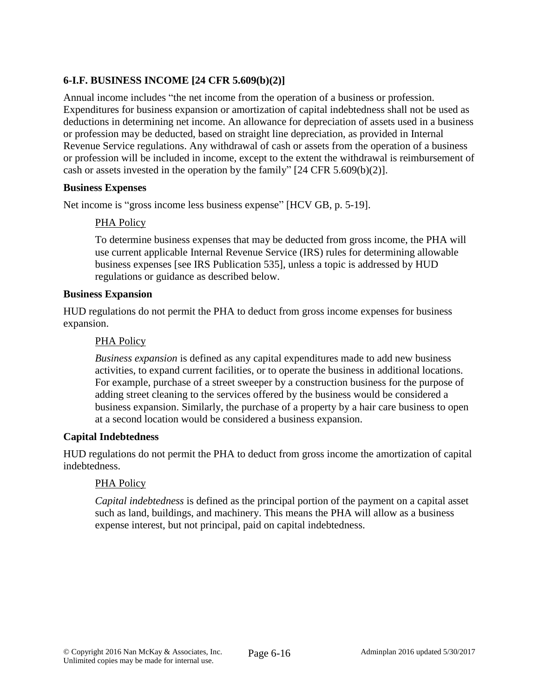# **6-I.F. BUSINESS INCOME [24 CFR 5.609(b)(2)]**

Annual income includes "the net income from the operation of a business or profession. Expenditures for business expansion or amortization of capital indebtedness shall not be used as deductions in determining net income. An allowance for depreciation of assets used in a business or profession may be deducted, based on straight line depreciation, as provided in Internal Revenue Service regulations. Any withdrawal of cash or assets from the operation of a business or profession will be included in income, except to the extent the withdrawal is reimbursement of cash or assets invested in the operation by the family" [24 CFR 5.609(b)(2)].

#### **Business Expenses**

Net income is "gross income less business expense" [HCV GB, p. 5-19].

### PHA Policy

To determine business expenses that may be deducted from gross income, the PHA will use current applicable Internal Revenue Service (IRS) rules for determining allowable business expenses [see IRS Publication 535], unless a topic is addressed by HUD regulations or guidance as described below.

#### **Business Expansion**

HUD regulations do not permit the PHA to deduct from gross income expenses for business expansion.

#### PHA Policy

*Business expansion* is defined as any capital expenditures made to add new business activities, to expand current facilities, or to operate the business in additional locations. For example, purchase of a street sweeper by a construction business for the purpose of adding street cleaning to the services offered by the business would be considered a business expansion. Similarly, the purchase of a property by a hair care business to open at a second location would be considered a business expansion.

#### **Capital Indebtedness**

HUD regulations do not permit the PHA to deduct from gross income the amortization of capital indebtedness.

#### PHA Policy

*Capital indebtedness* is defined as the principal portion of the payment on a capital asset such as land, buildings, and machinery. This means the PHA will allow as a business expense interest, but not principal, paid on capital indebtedness.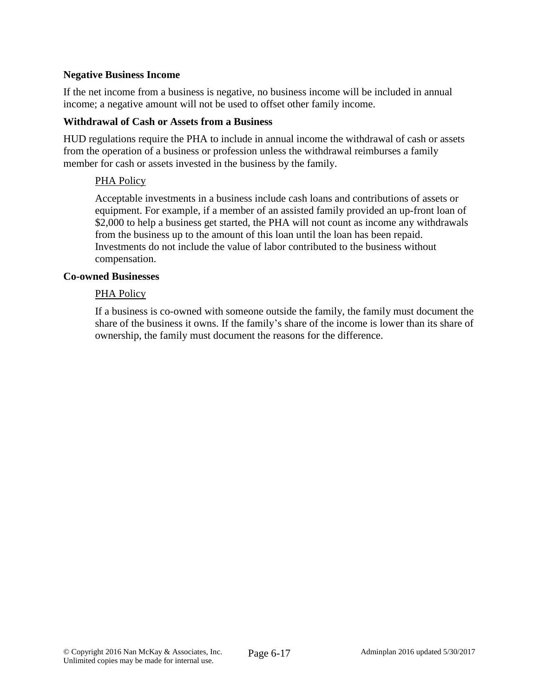#### **Negative Business Income**

If the net income from a business is negative, no business income will be included in annual income; a negative amount will not be used to offset other family income.

#### **Withdrawal of Cash or Assets from a Business**

HUD regulations require the PHA to include in annual income the withdrawal of cash or assets from the operation of a business or profession unless the withdrawal reimburses a family member for cash or assets invested in the business by the family.

#### PHA Policy

Acceptable investments in a business include cash loans and contributions of assets or equipment. For example, if a member of an assisted family provided an up-front loan of \$2,000 to help a business get started, the PHA will not count as income any withdrawals from the business up to the amount of this loan until the loan has been repaid. Investments do not include the value of labor contributed to the business without compensation.

#### **Co-owned Businesses**

#### PHA Policy

If a business is co-owned with someone outside the family, the family must document the share of the business it owns. If the family's share of the income is lower than its share of ownership, the family must document the reasons for the difference.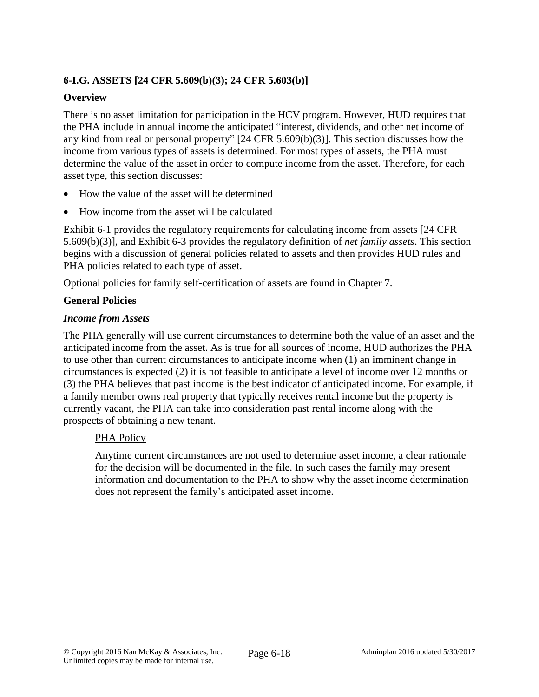## **6-I.G. ASSETS [24 CFR 5.609(b)(3); 24 CFR 5.603(b)]**

#### **Overview**

There is no asset limitation for participation in the HCV program. However, HUD requires that the PHA include in annual income the anticipated "interest, dividends, and other net income of any kind from real or personal property" [24 CFR 5.609(b)(3)]. This section discusses how the income from various types of assets is determined. For most types of assets, the PHA must determine the value of the asset in order to compute income from the asset. Therefore, for each asset type, this section discusses:

- How the value of the asset will be determined
- How income from the asset will be calculated

Exhibit 6-1 provides the regulatory requirements for calculating income from assets [24 CFR 5.609(b)(3)], and Exhibit 6-3 provides the regulatory definition of *net family assets*. This section begins with a discussion of general policies related to assets and then provides HUD rules and PHA policies related to each type of asset.

Optional policies for family self-certification of assets are found in Chapter 7.

#### **General Policies**

#### *Income from Assets*

The PHA generally will use current circumstances to determine both the value of an asset and the anticipated income from the asset. As is true for all sources of income, HUD authorizes the PHA to use other than current circumstances to anticipate income when (1) an imminent change in circumstances is expected (2) it is not feasible to anticipate a level of income over 12 months or (3) the PHA believes that past income is the best indicator of anticipated income. For example, if a family member owns real property that typically receives rental income but the property is currently vacant, the PHA can take into consideration past rental income along with the prospects of obtaining a new tenant.

#### PHA Policy

Anytime current circumstances are not used to determine asset income, a clear rationale for the decision will be documented in the file. In such cases the family may present information and documentation to the PHA to show why the asset income determination does not represent the family's anticipated asset income.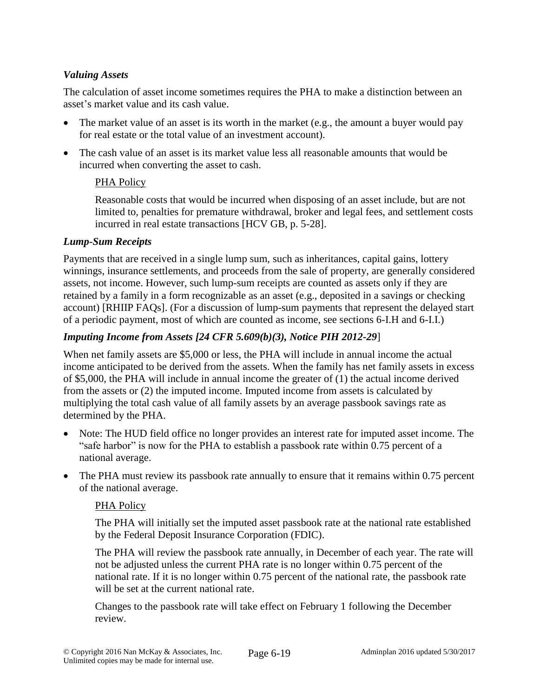## *Valuing Assets*

The calculation of asset income sometimes requires the PHA to make a distinction between an asset's market value and its cash value.

- The market value of an asset is its worth in the market (e.g., the amount a buyer would pay for real estate or the total value of an investment account).
- The cash value of an asset is its market value less all reasonable amounts that would be incurred when converting the asset to cash.

### PHA Policy

Reasonable costs that would be incurred when disposing of an asset include, but are not limited to, penalties for premature withdrawal, broker and legal fees, and settlement costs incurred in real estate transactions [HCV GB, p. 5-28].

### *Lump-Sum Receipts*

Payments that are received in a single lump sum, such as inheritances, capital gains, lottery winnings, insurance settlements, and proceeds from the sale of property, are generally considered assets, not income. However, such lump-sum receipts are counted as assets only if they are retained by a family in a form recognizable as an asset (e.g., deposited in a savings or checking account) [RHIIP FAQs]. (For a discussion of lump-sum payments that represent the delayed start of a periodic payment, most of which are counted as income, see sections 6-I.H and 6-I.I.)

## *Imputing Income from Assets [24 CFR 5.609(b)(3), Notice PIH 2012-29*]

When net family assets are \$5,000 or less, the PHA will include in annual income the actual income anticipated to be derived from the assets. When the family has net family assets in excess of \$5,000, the PHA will include in annual income the greater of (1) the actual income derived from the assets or (2) the imputed income. Imputed income from assets is calculated by multiplying the total cash value of all family assets by an average passbook savings rate as determined by the PHA.

- Note: The HUD field office no longer provides an interest rate for imputed asset income. The "safe harbor" is now for the PHA to establish a passbook rate within 0.75 percent of a national average.
- The PHA must review its passbook rate annually to ensure that it remains within 0.75 percent of the national average.

### PHA Policy

The PHA will initially set the imputed asset passbook rate at the national rate established by the Federal Deposit Insurance Corporation (FDIC).

The PHA will review the passbook rate annually, in December of each year. The rate will not be adjusted unless the current PHA rate is no longer within 0.75 percent of the national rate. If it is no longer within 0.75 percent of the national rate, the passbook rate will be set at the current national rate.

Changes to the passbook rate will take effect on February 1 following the December review.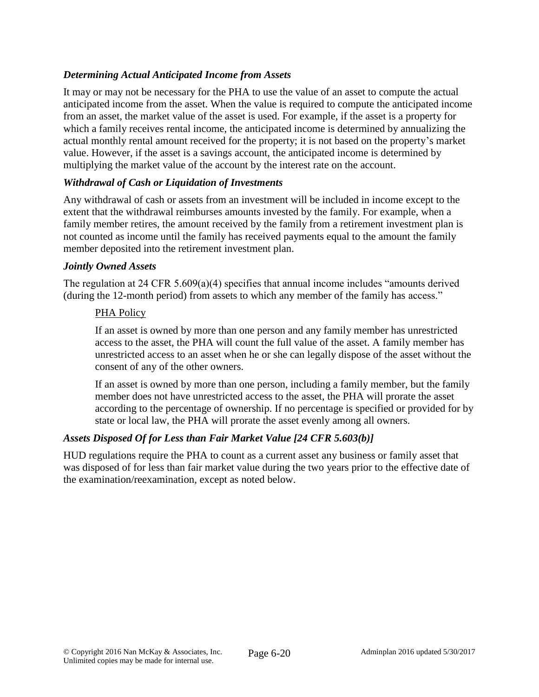## *Determining Actual Anticipated Income from Assets*

It may or may not be necessary for the PHA to use the value of an asset to compute the actual anticipated income from the asset. When the value is required to compute the anticipated income from an asset, the market value of the asset is used. For example, if the asset is a property for which a family receives rental income, the anticipated income is determined by annualizing the actual monthly rental amount received for the property; it is not based on the property's market value. However, if the asset is a savings account, the anticipated income is determined by multiplying the market value of the account by the interest rate on the account.

#### *Withdrawal of Cash or Liquidation of Investments*

Any withdrawal of cash or assets from an investment will be included in income except to the extent that the withdrawal reimburses amounts invested by the family. For example, when a family member retires, the amount received by the family from a retirement investment plan is not counted as income until the family has received payments equal to the amount the family member deposited into the retirement investment plan.

#### *Jointly Owned Assets*

The regulation at 24 CFR 5.609(a)(4) specifies that annual income includes "amounts derived (during the 12-month period) from assets to which any member of the family has access."

#### PHA Policy

If an asset is owned by more than one person and any family member has unrestricted access to the asset, the PHA will count the full value of the asset. A family member has unrestricted access to an asset when he or she can legally dispose of the asset without the consent of any of the other owners.

If an asset is owned by more than one person, including a family member, but the family member does not have unrestricted access to the asset, the PHA will prorate the asset according to the percentage of ownership. If no percentage is specified or provided for by state or local law, the PHA will prorate the asset evenly among all owners.

### *Assets Disposed Of for Less than Fair Market Value [24 CFR 5.603(b)]*

HUD regulations require the PHA to count as a current asset any business or family asset that was disposed of for less than fair market value during the two years prior to the effective date of the examination/reexamination, except as noted below.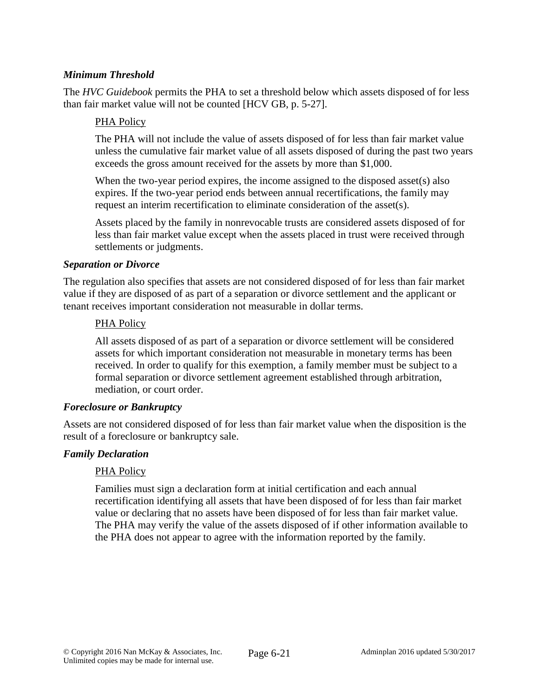## *Minimum Threshold*

The *HVC Guidebook* permits the PHA to set a threshold below which assets disposed of for less than fair market value will not be counted [HCV GB, p. 5-27].

#### PHA Policy

The PHA will not include the value of assets disposed of for less than fair market value unless the cumulative fair market value of all assets disposed of during the past two years exceeds the gross amount received for the assets by more than \$1,000.

When the two-year period expires, the income assigned to the disposed asset(s) also expires. If the two-year period ends between annual recertifications, the family may request an interim recertification to eliminate consideration of the asset(s).

Assets placed by the family in nonrevocable trusts are considered assets disposed of for less than fair market value except when the assets placed in trust were received through settlements or judgments.

#### *Separation or Divorce*

The regulation also specifies that assets are not considered disposed of for less than fair market value if they are disposed of as part of a separation or divorce settlement and the applicant or tenant receives important consideration not measurable in dollar terms.

#### PHA Policy

All assets disposed of as part of a separation or divorce settlement will be considered assets for which important consideration not measurable in monetary terms has been received. In order to qualify for this exemption, a family member must be subject to a formal separation or divorce settlement agreement established through arbitration, mediation, or court order.

#### *Foreclosure or Bankruptcy*

Assets are not considered disposed of for less than fair market value when the disposition is the result of a foreclosure or bankruptcy sale.

### *Family Declaration*

#### PHA Policy

Families must sign a declaration form at initial certification and each annual recertification identifying all assets that have been disposed of for less than fair market value or declaring that no assets have been disposed of for less than fair market value. The PHA may verify the value of the assets disposed of if other information available to the PHA does not appear to agree with the information reported by the family.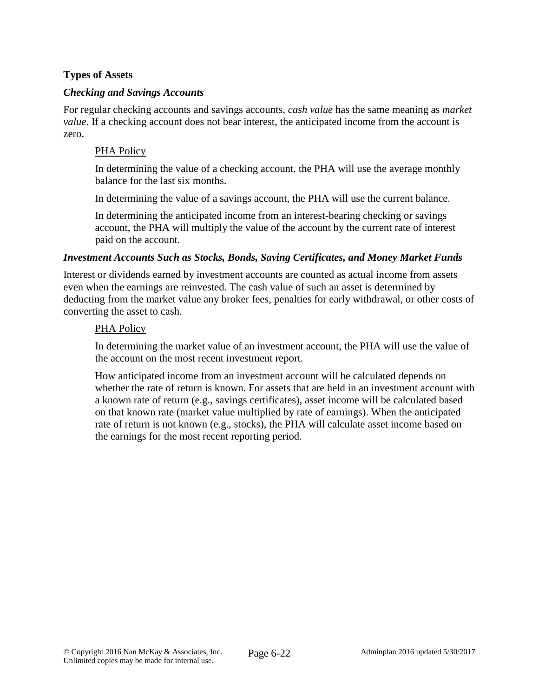## **Types of Assets**

#### *Checking and Savings Accounts*

For regular checking accounts and savings accounts, *cash value* has the same meaning as *market value*. If a checking account does not bear interest, the anticipated income from the account is zero.

#### PHA Policy

In determining the value of a checking account, the PHA will use the average monthly balance for the last six months.

In determining the value of a savings account, the PHA will use the current balance.

In determining the anticipated income from an interest-bearing checking or savings account, the PHA will multiply the value of the account by the current rate of interest paid on the account.

#### *Investment Accounts Such as Stocks, Bonds, Saving Certificates, and Money Market Funds*

Interest or dividends earned by investment accounts are counted as actual income from assets even when the earnings are reinvested. The cash value of such an asset is determined by deducting from the market value any broker fees, penalties for early withdrawal, or other costs of converting the asset to cash.

#### PHA Policy

In determining the market value of an investment account, the PHA will use the value of the account on the most recent investment report.

How anticipated income from an investment account will be calculated depends on whether the rate of return is known. For assets that are held in an investment account with a known rate of return (e.g., savings certificates), asset income will be calculated based on that known rate (market value multiplied by rate of earnings). When the anticipated rate of return is not known (e.g., stocks), the PHA will calculate asset income based on the earnings for the most recent reporting period.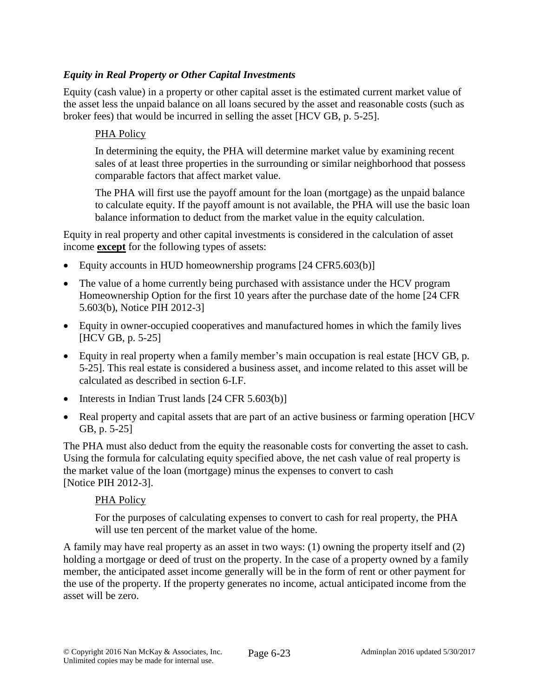## *Equity in Real Property or Other Capital Investments*

Equity (cash value) in a property or other capital asset is the estimated current market value of the asset less the unpaid balance on all loans secured by the asset and reasonable costs (such as broker fees) that would be incurred in selling the asset [HCV GB, p. 5-25].

#### PHA Policy

In determining the equity, the PHA will determine market value by examining recent sales of at least three properties in the surrounding or similar neighborhood that possess comparable factors that affect market value.

The PHA will first use the payoff amount for the loan (mortgage) as the unpaid balance to calculate equity. If the payoff amount is not available, the PHA will use the basic loan balance information to deduct from the market value in the equity calculation.

Equity in real property and other capital investments is considered in the calculation of asset income **except** for the following types of assets:

- Equity accounts in HUD homeownership programs [24 CFR5.603(b)]
- The value of a home currently being purchased with assistance under the HCV program Homeownership Option for the first 10 years after the purchase date of the home [24 CFR 5.603(b), Notice PIH 2012-3]
- Equity in owner-occupied cooperatives and manufactured homes in which the family lives [HCV GB, p. 5-25]
- Equity in real property when a family member's main occupation is real estate [HCV GB, p. 5-25]. This real estate is considered a business asset, and income related to this asset will be calculated as described in section 6-I.F.
- $\bullet$  Interests in Indian Trust lands [24 CFR 5.603(b)]
- Real property and capital assets that are part of an active business or farming operation [HCV] GB, p. 5-25]

The PHA must also deduct from the equity the reasonable costs for converting the asset to cash. Using the formula for calculating equity specified above, the net cash value of real property is the market value of the loan (mortgage) minus the expenses to convert to cash [Notice PIH 2012-3].

#### PHA Policy

For the purposes of calculating expenses to convert to cash for real property, the PHA will use ten percent of the market value of the home.

A family may have real property as an asset in two ways: (1) owning the property itself and (2) holding a mortgage or deed of trust on the property. In the case of a property owned by a family member, the anticipated asset income generally will be in the form of rent or other payment for the use of the property. If the property generates no income, actual anticipated income from the asset will be zero.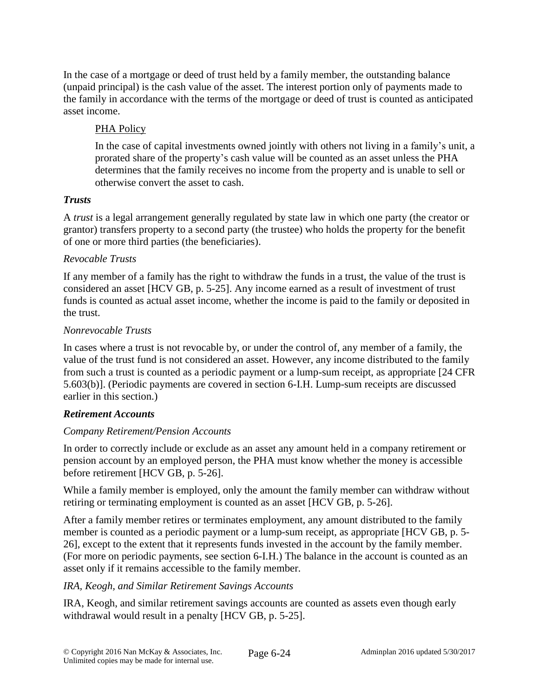In the case of a mortgage or deed of trust held by a family member, the outstanding balance (unpaid principal) is the cash value of the asset. The interest portion only of payments made to the family in accordance with the terms of the mortgage or deed of trust is counted as anticipated asset income.

## PHA Policy

In the case of capital investments owned jointly with others not living in a family's unit, a prorated share of the property's cash value will be counted as an asset unless the PHA determines that the family receives no income from the property and is unable to sell or otherwise convert the asset to cash.

### *Trusts*

A *trust* is a legal arrangement generally regulated by state law in which one party (the creator or grantor) transfers property to a second party (the trustee) who holds the property for the benefit of one or more third parties (the beneficiaries).

## *Revocable Trusts*

If any member of a family has the right to withdraw the funds in a trust, the value of the trust is considered an asset [HCV GB, p. 5-25]. Any income earned as a result of investment of trust funds is counted as actual asset income, whether the income is paid to the family or deposited in the trust.

## *Nonrevocable Trusts*

In cases where a trust is not revocable by, or under the control of, any member of a family, the value of the trust fund is not considered an asset. However, any income distributed to the family from such a trust is counted as a periodic payment or a lump-sum receipt, as appropriate [24 CFR 5.603(b)]. (Periodic payments are covered in section 6-I.H. Lump-sum receipts are discussed earlier in this section.)

# *Retirement Accounts*

# *Company Retirement/Pension Accounts*

In order to correctly include or exclude as an asset any amount held in a company retirement or pension account by an employed person, the PHA must know whether the money is accessible before retirement [HCV GB, p. 5-26].

While a family member is employed, only the amount the family member can withdraw without retiring or terminating employment is counted as an asset [HCV GB, p. 5-26].

After a family member retires or terminates employment, any amount distributed to the family member is counted as a periodic payment or a lump-sum receipt, as appropriate [HCV GB, p. 5- 26], except to the extent that it represents funds invested in the account by the family member. (For more on periodic payments, see section 6-I.H.) The balance in the account is counted as an asset only if it remains accessible to the family member.

# *IRA, Keogh, and Similar Retirement Savings Accounts*

IRA, Keogh, and similar retirement savings accounts are counted as assets even though early withdrawal would result in a penalty [HCV GB, p. 5-25].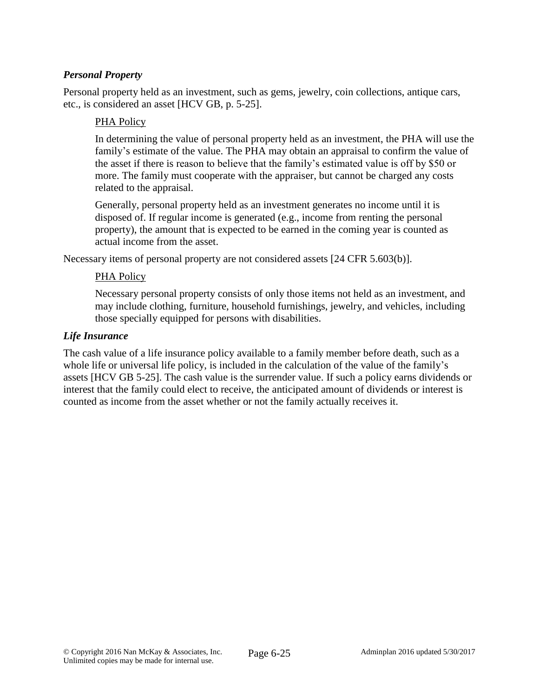## *Personal Property*

Personal property held as an investment, such as gems, jewelry, coin collections, antique cars, etc., is considered an asset [HCV GB, p. 5-25].

#### PHA Policy

In determining the value of personal property held as an investment, the PHA will use the family's estimate of the value. The PHA may obtain an appraisal to confirm the value of the asset if there is reason to believe that the family's estimated value is off by \$50 or more. The family must cooperate with the appraiser, but cannot be charged any costs related to the appraisal.

Generally, personal property held as an investment generates no income until it is disposed of. If regular income is generated (e.g., income from renting the personal property), the amount that is expected to be earned in the coming year is counted as actual income from the asset.

Necessary items of personal property are not considered assets [24 CFR 5.603(b)].

#### PHA Policy

Necessary personal property consists of only those items not held as an investment, and may include clothing, furniture, household furnishings, jewelry, and vehicles, including those specially equipped for persons with disabilities.

#### *Life Insurance*

The cash value of a life insurance policy available to a family member before death, such as a whole life or universal life policy, is included in the calculation of the value of the family's assets [HCV GB 5-25]. The cash value is the surrender value. If such a policy earns dividends or interest that the family could elect to receive, the anticipated amount of dividends or interest is counted as income from the asset whether or not the family actually receives it.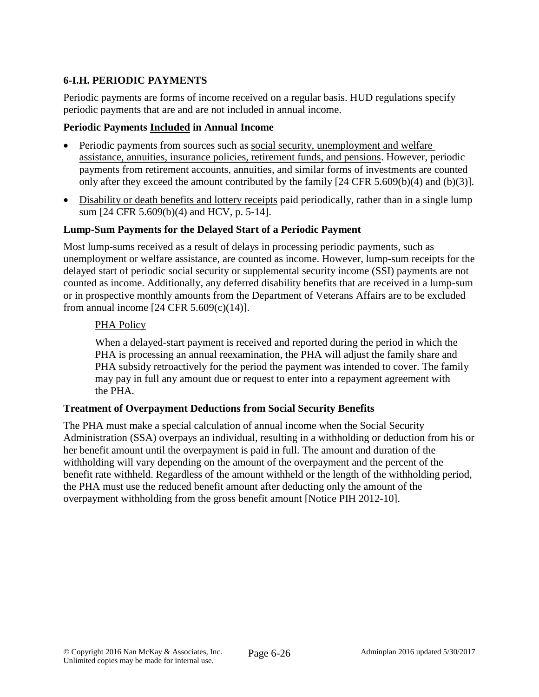# **6-I.H. PERIODIC PAYMENTS**

Periodic payments are forms of income received on a regular basis. HUD regulations specify periodic payments that are and are not included in annual income.

#### **Periodic Payments Included in Annual Income**

- Periodic payments from sources such as social security, unemployment and welfare assistance, annuities, insurance policies, retirement funds, and pensions. However, periodic payments from retirement accounts, annuities, and similar forms of investments are counted only after they exceed the amount contributed by the family [24 CFR 5.609(b)(4) and (b)(3)].
- Disability or death benefits and lottery receipts paid periodically, rather than in a single lump sum [24 CFR 5.609(b)(4) and HCV, p. 5-14].

#### **Lump-Sum Payments for the Delayed Start of a Periodic Payment**

Most lump-sums received as a result of delays in processing periodic payments, such as unemployment or welfare assistance, are counted as income. However, lump-sum receipts for the delayed start of periodic social security or supplemental security income (SSI) payments are not counted as income. Additionally, any deferred disability benefits that are received in a lump-sum or in prospective monthly amounts from the Department of Veterans Affairs are to be excluded from annual income [24 CFR 5.609(c)(14)].

#### PHA Policy

When a delayed-start payment is received and reported during the period in which the PHA is processing an annual reexamination, the PHA will adjust the family share and PHA subsidy retroactively for the period the payment was intended to cover. The family may pay in full any amount due or request to enter into a repayment agreement with the PHA.

#### **Treatment of Overpayment Deductions from Social Security Benefits**

The PHA must make a special calculation of annual income when the Social Security Administration (SSA) overpays an individual, resulting in a withholding or deduction from his or her benefit amount until the overpayment is paid in full. The amount and duration of the withholding will vary depending on the amount of the overpayment and the percent of the benefit rate withheld. Regardless of the amount withheld or the length of the withholding period, the PHA must use the reduced benefit amount after deducting only the amount of the overpayment withholding from the gross benefit amount [Notice PIH 2012-10].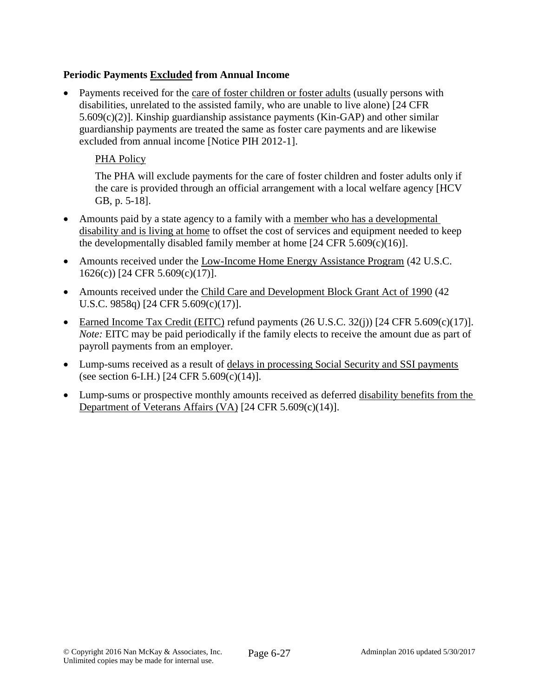## **Periodic Payments Excluded from Annual Income**

 Payments received for the care of foster children or foster adults (usually persons with disabilities, unrelated to the assisted family, who are unable to live alone) [24 CFR 5.609(c)(2)]. Kinship guardianship assistance payments (Kin-GAP) and other similar guardianship payments are treated the same as foster care payments and are likewise excluded from annual income [Notice PIH 2012-1].

### PHA Policy

The PHA will exclude payments for the care of foster children and foster adults only if the care is provided through an official arrangement with a local welfare agency [HCV GB, p. 5-18].

- Amounts paid by a state agency to a family with a member who has a developmental disability and is living at home to offset the cost of services and equipment needed to keep the developmentally disabled family member at home  $[24 \text{ CFR } 5.609(c)(16)].$
- Amounts received under the Low-Income Home Energy Assistance Program (42 U.S.C. 1626(c)) [24 CFR 5.609(c)(17)].
- Amounts received under the Child Care and Development Block Grant Act of 1990 (42) U.S.C. 9858q) [24 CFR 5.609(c)(17)].
- Earned Income Tax Credit (EITC) refund payments  $(26 \text{ U.S.C. } 32(i))$  [24 CFR 5.609(c)(17)]. *Note:* EITC may be paid periodically if the family elects to receive the amount due as part of payroll payments from an employer.
- Lump-sums received as a result of delays in processing Social Security and SSI payments (see section 6-I.H.) [24 CFR 5.609(c)(14)].
- Lump-sums or prospective monthly amounts received as deferred disability benefits from the Department of Veterans Affairs (VA) [24 CFR 5.609(c)(14)].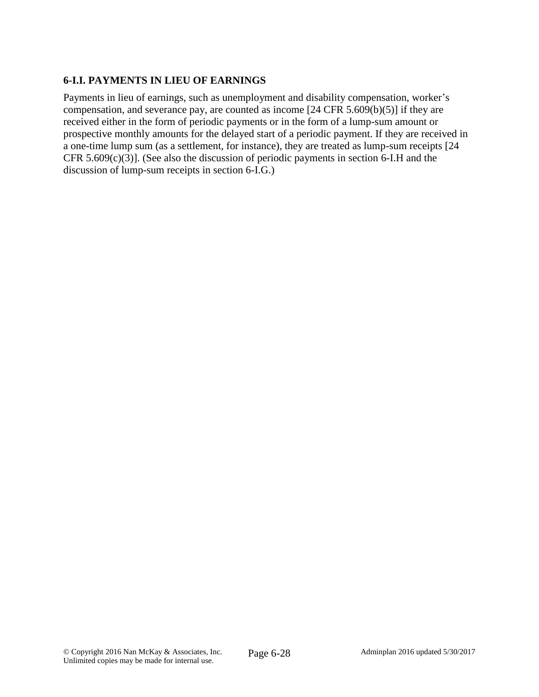# **6-I.I. PAYMENTS IN LIEU OF EARNINGS**

Payments in lieu of earnings, such as unemployment and disability compensation, worker's compensation, and severance pay, are counted as income [24 CFR 5.609(b)(5)] if they are received either in the form of periodic payments or in the form of a lump-sum amount or prospective monthly amounts for the delayed start of a periodic payment. If they are received in a one-time lump sum (as a settlement, for instance), they are treated as lump-sum receipts [24 CFR 5.609(c)(3)]. (See also the discussion of periodic payments in section 6-I.H and the discussion of lump-sum receipts in section 6-I.G.)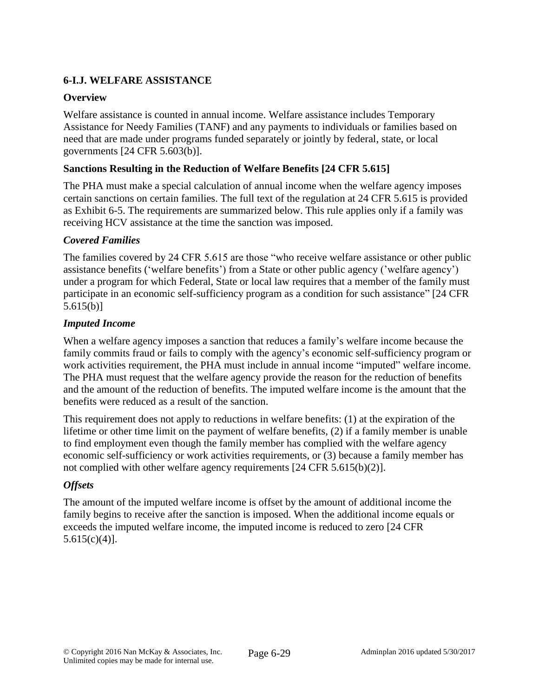# **6-I.J. WELFARE ASSISTANCE**

## **Overview**

Welfare assistance is counted in annual income. Welfare assistance includes Temporary Assistance for Needy Families (TANF) and any payments to individuals or families based on need that are made under programs funded separately or jointly by federal, state, or local governments [24 CFR 5.603(b)].

## **Sanctions Resulting in the Reduction of Welfare Benefits [24 CFR 5.615]**

The PHA must make a special calculation of annual income when the welfare agency imposes certain sanctions on certain families. The full text of the regulation at 24 CFR 5.615 is provided as Exhibit 6-5. The requirements are summarized below. This rule applies only if a family was receiving HCV assistance at the time the sanction was imposed.

### *Covered Families*

The families covered by 24 CFR 5.615 are those "who receive welfare assistance or other public assistance benefits ('welfare benefits') from a State or other public agency ('welfare agency') under a program for which Federal, State or local law requires that a member of the family must participate in an economic self-sufficiency program as a condition for such assistance" [24 CFR 5.615(b)]

### *Imputed Income*

When a welfare agency imposes a sanction that reduces a family's welfare income because the family commits fraud or fails to comply with the agency's economic self-sufficiency program or work activities requirement, the PHA must include in annual income "imputed" welfare income. The PHA must request that the welfare agency provide the reason for the reduction of benefits and the amount of the reduction of benefits. The imputed welfare income is the amount that the benefits were reduced as a result of the sanction.

This requirement does not apply to reductions in welfare benefits: (1) at the expiration of the lifetime or other time limit on the payment of welfare benefits, (2) if a family member is unable to find employment even though the family member has complied with the welfare agency economic self-sufficiency or work activities requirements, or (3) because a family member has not complied with other welfare agency requirements [24 CFR 5.615(b)(2)].

### *Offsets*

The amount of the imputed welfare income is offset by the amount of additional income the family begins to receive after the sanction is imposed. When the additional income equals or exceeds the imputed welfare income, the imputed income is reduced to zero [24 CFR  $5.615(c)(4)$ ].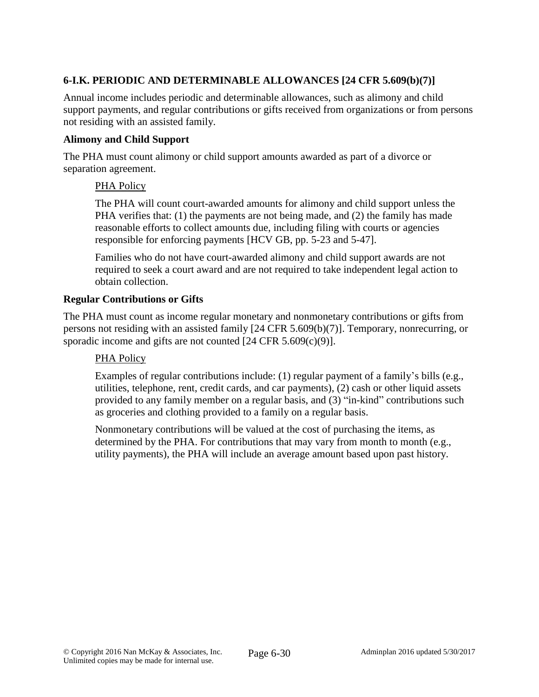# **6-I.K. PERIODIC AND DETERMINABLE ALLOWANCES [24 CFR 5.609(b)(7)]**

Annual income includes periodic and determinable allowances, such as alimony and child support payments, and regular contributions or gifts received from organizations or from persons not residing with an assisted family.

### **Alimony and Child Support**

The PHA must count alimony or child support amounts awarded as part of a divorce or separation agreement.

### PHA Policy

The PHA will count court-awarded amounts for alimony and child support unless the PHA verifies that: (1) the payments are not being made, and (2) the family has made reasonable efforts to collect amounts due, including filing with courts or agencies responsible for enforcing payments [HCV GB, pp. 5-23 and 5-47].

Families who do not have court-awarded alimony and child support awards are not required to seek a court award and are not required to take independent legal action to obtain collection.

## **Regular Contributions or Gifts**

The PHA must count as income regular monetary and nonmonetary contributions or gifts from persons not residing with an assisted family [24 CFR 5.609(b)(7)]. Temporary, nonrecurring, or sporadic income and gifts are not counted [24 CFR 5.609(c)(9)].

### PHA Policy

Examples of regular contributions include: (1) regular payment of a family's bills (e.g., utilities, telephone, rent, credit cards, and car payments), (2) cash or other liquid assets provided to any family member on a regular basis, and (3) "in-kind" contributions such as groceries and clothing provided to a family on a regular basis.

Nonmonetary contributions will be valued at the cost of purchasing the items, as determined by the PHA. For contributions that may vary from month to month (e.g., utility payments), the PHA will include an average amount based upon past history.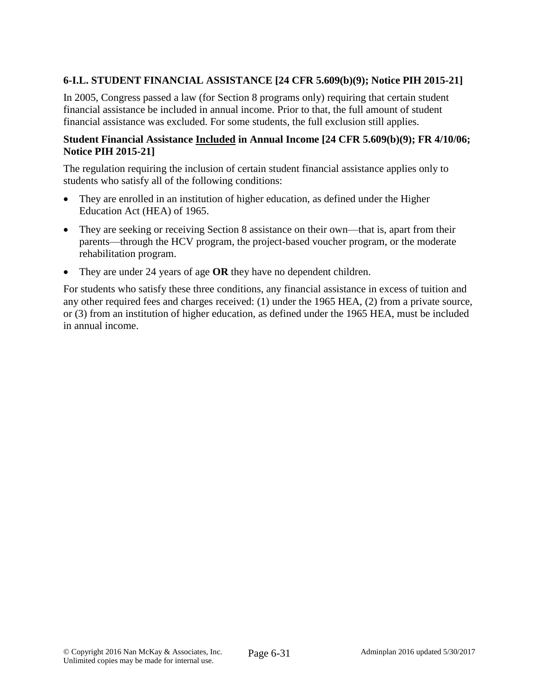## **6-I.L. STUDENT FINANCIAL ASSISTANCE [24 CFR 5.609(b)(9); Notice PIH 2015-21]**

In 2005, Congress passed a law (for Section 8 programs only) requiring that certain student financial assistance be included in annual income. Prior to that, the full amount of student financial assistance was excluded. For some students, the full exclusion still applies.

#### **Student Financial Assistance Included in Annual Income [24 CFR 5.609(b)(9); FR 4/10/06; Notice PIH 2015-21]**

The regulation requiring the inclusion of certain student financial assistance applies only to students who satisfy all of the following conditions:

- They are enrolled in an institution of higher education, as defined under the Higher Education Act (HEA) of 1965.
- They are seeking or receiving Section 8 assistance on their own—that is, apart from their parents—through the HCV program, the project-based voucher program, or the moderate rehabilitation program.
- They are under 24 years of age **OR** they have no dependent children.

For students who satisfy these three conditions, any financial assistance in excess of tuition and any other required fees and charges received: (1) under the 1965 HEA, (2) from a private source, or (3) from an institution of higher education, as defined under the 1965 HEA, must be included in annual income.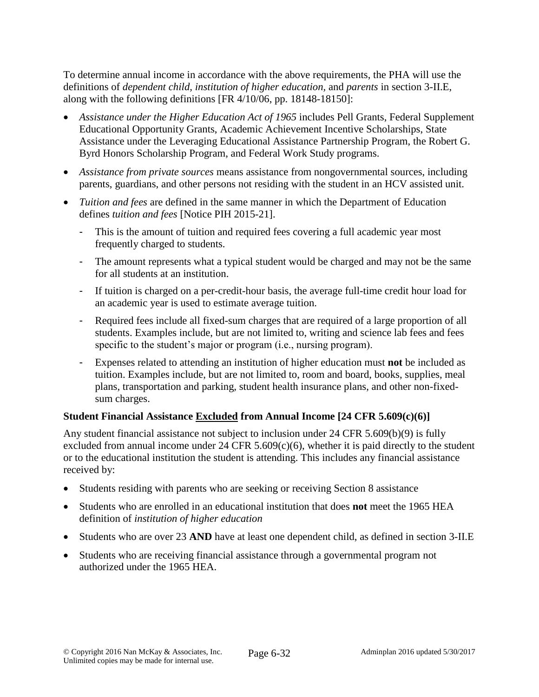To determine annual income in accordance with the above requirements, the PHA will use the definitions of *dependent child, institution of higher education,* and *parents* in section 3-II.E, along with the following definitions [FR 4/10/06, pp. 18148-18150]:

- *Assistance under the Higher Education Act of 1965* includes Pell Grants, Federal Supplement Educational Opportunity Grants, Academic Achievement Incentive Scholarships, State Assistance under the Leveraging Educational Assistance Partnership Program, the Robert G. Byrd Honors Scholarship Program, and Federal Work Study programs.
- *Assistance from private sources* means assistance from nongovernmental sources, including parents, guardians, and other persons not residing with the student in an HCV assisted unit.
- *Tuition and fees* are defined in the same manner in which the Department of Education defines *tuition and fees* [Notice PIH 2015-21].
	- This is the amount of tuition and required fees covering a full academic year most frequently charged to students.
	- The amount represents what a typical student would be charged and may not be the same for all students at an institution.
	- If tuition is charged on a per-credit-hour basis, the average full-time credit hour load for an academic year is used to estimate average tuition.
	- Required fees include all fixed-sum charges that are required of a large proportion of all students. Examples include, but are not limited to, writing and science lab fees and fees specific to the student's major or program (i.e., nursing program).
	- Expenses related to attending an institution of higher education must **not** be included as tuition. Examples include, but are not limited to, room and board, books, supplies, meal plans, transportation and parking, student health insurance plans, and other non-fixedsum charges.

# **Student Financial Assistance Excluded from Annual Income [24 CFR 5.609(c)(6)]**

Any student financial assistance not subject to inclusion under 24 CFR 5.609(b)(9) is fully excluded from annual income under  $24$  CFR  $5.609(c)(6)$ , whether it is paid directly to the student or to the educational institution the student is attending. This includes any financial assistance received by:

- Students residing with parents who are seeking or receiving Section 8 assistance
- Students who are enrolled in an educational institution that does **not** meet the 1965 HEA definition of *institution of higher education*
- Students who are over 23 **AND** have at least one dependent child, as defined in section 3-II.E
- Students who are receiving financial assistance through a governmental program not authorized under the 1965 HEA.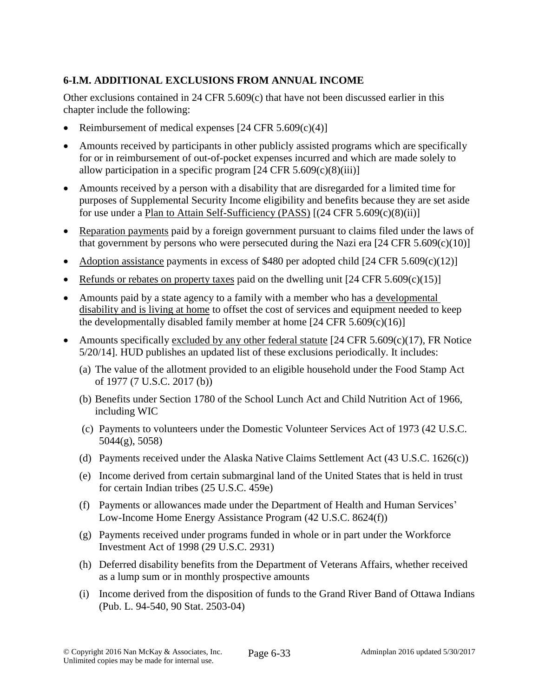# **6-I.M. ADDITIONAL EXCLUSIONS FROM ANNUAL INCOME**

Other exclusions contained in 24 CFR 5.609(c) that have not been discussed earlier in this chapter include the following:

- Reimbursement of medical expenses  $[24 \text{ CFR } 5.609(c)(4)]$
- Amounts received by participants in other publicly assisted programs which are specifically for or in reimbursement of out-of-pocket expenses incurred and which are made solely to allow participation in a specific program  $[24 \text{ CFR } 5.609(c)(8)(iii)]$
- Amounts received by a person with a disability that are disregarded for a limited time for purposes of Supplemental Security Income eligibility and benefits because they are set aside for use under a Plan to Attain Self-Sufficiency (PASS)  $[(24 \text{ CFR } 5.609(c)(8)(ii)]$
- Reparation payments paid by a foreign government pursuant to claims filed under the laws of that government by persons who were persecuted during the Nazi era  $[24 \text{ CFR } 5.609(c)(10)]$
- Adoption assistance payments in excess of \$480 per adopted child  $[24 \text{ CFR } 5.609 \text{ (c)}(12)]$
- Refunds or rebates on property taxes paid on the dwelling unit  $[24 \text{ CFR } 5.609 \text{ (c)}(15)]$
- Amounts paid by a state agency to a family with a member who has a developmental disability and is living at home to offset the cost of services and equipment needed to keep the developmentally disabled family member at home  $[24 \text{ CFR } 5.609(c)(16)]$
- Amounts specifically excluded by any other federal statute  $[24 \text{ CFR } 5.609 \text{ (c)} (17)$ , FR Notice 5/20/14]. HUD publishes an updated list of these exclusions periodically. It includes:
	- (a) The value of the allotment provided to an eligible household under the Food Stamp Act of 1977 (7 U.S.C. 2017 (b))
	- (b) Benefits under Section 1780 of the School Lunch Act and Child Nutrition Act of 1966, including WIC
	- (c) Payments to volunteers under the Domestic Volunteer Services Act of 1973 (42 U.S.C. 5044(g), 5058)
	- (d) Payments received under the Alaska Native Claims Settlement Act (43 U.S.C. 1626(c))
	- (e) Income derived from certain submarginal land of the United States that is held in trust for certain Indian tribes (25 U.S.C. 459e)
	- (f) Payments or allowances made under the Department of Health and Human Services' Low-Income Home Energy Assistance Program (42 U.S.C. 8624(f))
	- (g) Payments received under programs funded in whole or in part under the Workforce Investment Act of 1998 (29 U.S.C. 2931)
	- (h) Deferred disability benefits from the Department of Veterans Affairs, whether received as a lump sum or in monthly prospective amounts
	- (i) Income derived from the disposition of funds to the Grand River Band of Ottawa Indians (Pub. L. 94-540, 90 Stat. 2503-04)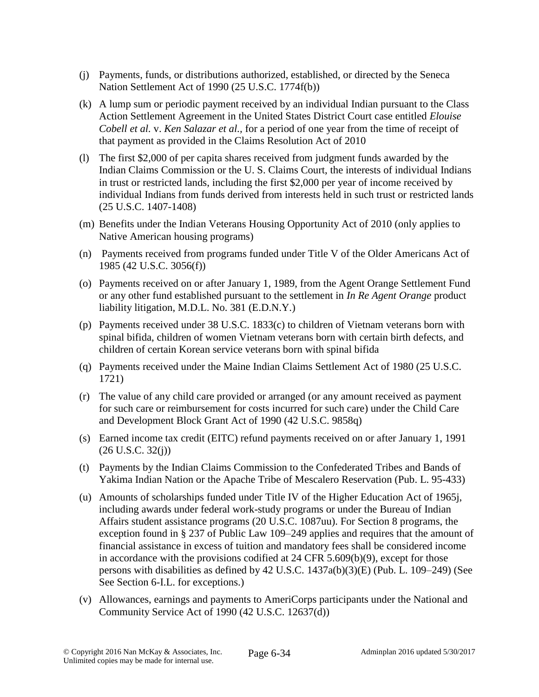- (j) Payments, funds, or distributions authorized, established, or directed by the Seneca Nation Settlement Act of 1990 (25 U.S.C. 1774f(b))
- (k) A lump sum or periodic payment received by an individual Indian pursuant to the Class Action Settlement Agreement in the United States District Court case entitled *Elouise Cobell et al.* v. *Ken Salazar et al.,* for a period of one year from the time of receipt of that payment as provided in the Claims Resolution Act of 2010
- (l) The first \$2,000 of per capita shares received from judgment funds awarded by the Indian Claims Commission or the U. S. Claims Court, the interests of individual Indians in trust or restricted lands, including the first \$2,000 per year of income received by individual Indians from funds derived from interests held in such trust or restricted lands (25 U.S.C. 1407-1408)
- (m) Benefits under the Indian Veterans Housing Opportunity Act of 2010 (only applies to Native American housing programs)
- (n) Payments received from programs funded under Title V of the Older Americans Act of 1985 (42 U.S.C. 3056(f))
- (o) Payments received on or after January 1, 1989, from the Agent Orange Settlement Fund or any other fund established pursuant to the settlement in *In Re Agent Orange* product liability litigation, M.D.L. No. 381 (E.D.N.Y.)
- (p) Payments received under 38 U.S.C. 1833(c) to children of Vietnam veterans born with spinal bifida, children of women Vietnam veterans born with certain birth defects, and children of certain Korean service veterans born with spinal bifida
- (q) Payments received under the Maine Indian Claims Settlement Act of 1980 (25 U.S.C. 1721)
- (r) The value of any child care provided or arranged (or any amount received as payment for such care or reimbursement for costs incurred for such care) under the Child Care and Development Block Grant Act of 1990 (42 U.S.C. 9858q)
- (s) Earned income tax credit (EITC) refund payments received on or after January 1, 1991  $(26 \text{ U.S.C. } 32(j))$
- (t) Payments by the Indian Claims Commission to the Confederated Tribes and Bands of Yakima Indian Nation or the Apache Tribe of Mescalero Reservation (Pub. L. 95-433)
- (u) Amounts of scholarships funded under Title IV of the Higher Education Act of 1965j, including awards under federal work-study programs or under the Bureau of Indian Affairs student assistance programs (20 U.S.C. 1087uu). For Section 8 programs, the exception found in § 237 of Public Law 109–249 applies and requires that the amount of financial assistance in excess of tuition and mandatory fees shall be considered income in accordance with the provisions codified at 24 CFR 5.609(b)(9), except for those persons with disabilities as defined by 42 U.S.C. 1437a(b)(3)(E) (Pub. L. 109–249) (See See Section 6-I.L. for exceptions.)
- (v) Allowances, earnings and payments to AmeriCorps participants under the National and Community Service Act of 1990 (42 U.S.C. 12637(d))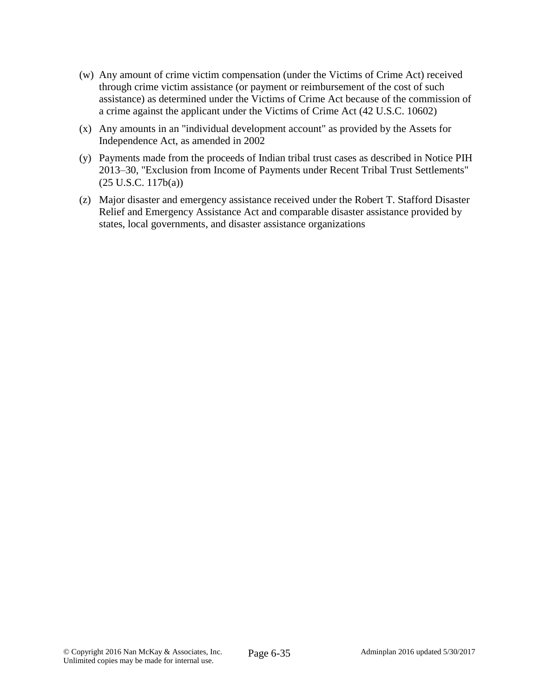- (w) Any amount of crime victim compensation (under the Victims of Crime Act) received through crime victim assistance (or payment or reimbursement of the cost of such assistance) as determined under the Victims of Crime Act because of the commission of a crime against the applicant under the Victims of Crime Act (42 U.S.C. 10602)
- (x) Any amounts in an "individual development account" as provided by the Assets for Independence Act, as amended in 2002
- (y) Payments made from the proceeds of Indian tribal trust cases as described in Notice PIH 2013–30, "Exclusion from Income of Payments under Recent Tribal Trust Settlements" (25 U.S.C. 117b(a))
- (z) Major disaster and emergency assistance received under the Robert T. Stafford Disaster Relief and Emergency Assistance Act and comparable disaster assistance provided by states, local governments, and disaster assistance organizations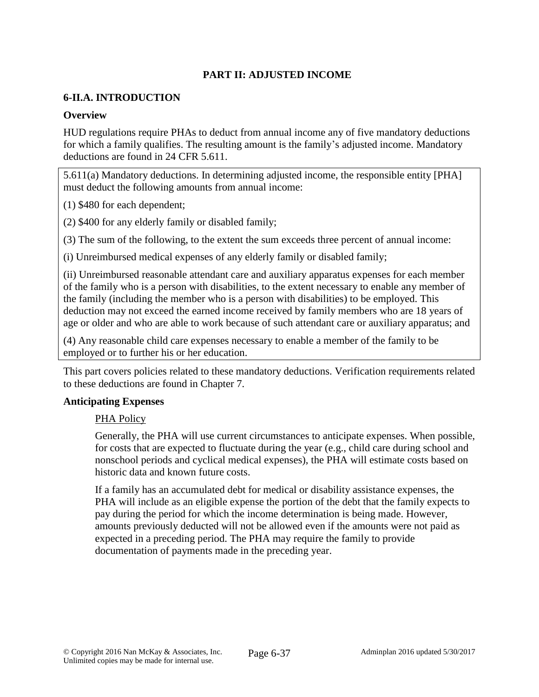# **PART II: ADJUSTED INCOME**

#### **6-II.A. INTRODUCTION**

#### **Overview**

HUD regulations require PHAs to deduct from annual income any of five mandatory deductions for which a family qualifies. The resulting amount is the family's adjusted income. Mandatory deductions are found in 24 CFR 5.611.

5.611(a) Mandatory deductions. In determining adjusted income, the responsible entity [PHA] must deduct the following amounts from annual income:

(1) \$480 for each dependent;

(2) \$400 for any elderly family or disabled family;

(3) The sum of the following, to the extent the sum exceeds three percent of annual income:

(i) Unreimbursed medical expenses of any elderly family or disabled family;

(ii) Unreimbursed reasonable attendant care and auxiliary apparatus expenses for each member of the family who is a person with disabilities, to the extent necessary to enable any member of the family (including the member who is a person with disabilities) to be employed. This deduction may not exceed the earned income received by family members who are 18 years of age or older and who are able to work because of such attendant care or auxiliary apparatus; and

(4) Any reasonable child care expenses necessary to enable a member of the family to be employed or to further his or her education.

This part covers policies related to these mandatory deductions. Verification requirements related to these deductions are found in Chapter 7.

#### **Anticipating Expenses**

#### PHA Policy

Generally, the PHA will use current circumstances to anticipate expenses. When possible, for costs that are expected to fluctuate during the year (e.g., child care during school and nonschool periods and cyclical medical expenses), the PHA will estimate costs based on historic data and known future costs.

If a family has an accumulated debt for medical or disability assistance expenses, the PHA will include as an eligible expense the portion of the debt that the family expects to pay during the period for which the income determination is being made. However, amounts previously deducted will not be allowed even if the amounts were not paid as expected in a preceding period. The PHA may require the family to provide documentation of payments made in the preceding year.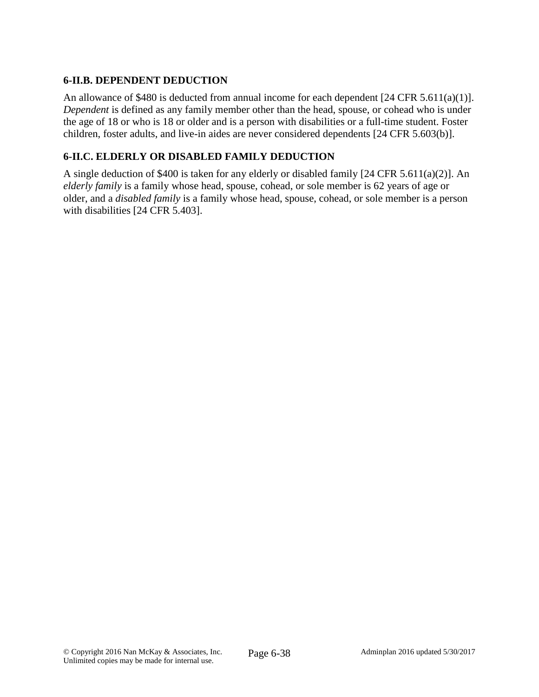## **6-II.B. DEPENDENT DEDUCTION**

An allowance of \$480 is deducted from annual income for each dependent [24 CFR 5.611(a)(1)]. *Dependent* is defined as any family member other than the head, spouse, or cohead who is under the age of 18 or who is 18 or older and is a person with disabilities or a full-time student. Foster children, foster adults, and live-in aides are never considered dependents [24 CFR 5.603(b)].

## **6-II.C. ELDERLY OR DISABLED FAMILY DEDUCTION**

A single deduction of \$400 is taken for any elderly or disabled family [24 CFR 5.611(a)(2)]. An *elderly family* is a family whose head, spouse, cohead, or sole member is 62 years of age or older, and a *disabled family* is a family whose head, spouse, cohead, or sole member is a person with disabilities [24 CFR 5.403].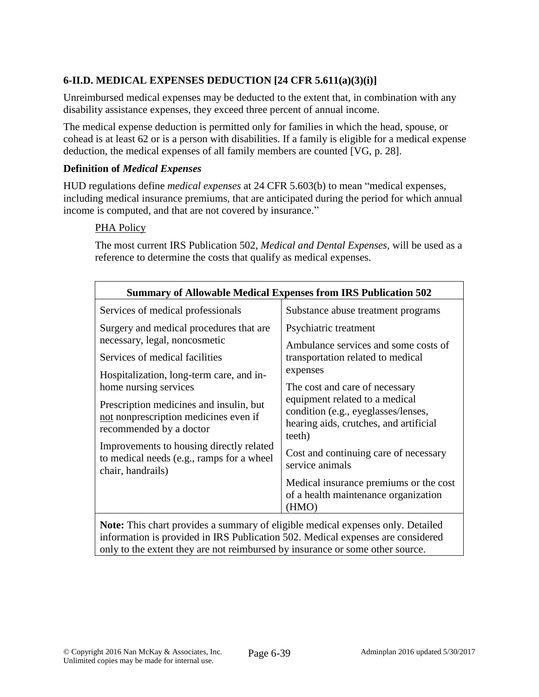# **6-II.D. MEDICAL EXPENSES DEDUCTION [24 CFR 5.611(a)(3)(i)]**

Unreimbursed medical expenses may be deducted to the extent that, in combination with any disability assistance expenses, they exceed three percent of annual income.

The medical expense deduction is permitted only for families in which the head, spouse, or cohead is at least 62 or is a person with disabilities. If a family is eligible for a medical expense deduction, the medical expenses of all family members are counted [VG, p. 28].

### **Definition of** *Medical Expenses*

HUD regulations define *medical expenses* at 24 CFR 5.603(b) to mean "medical expenses, including medical insurance premiums, that are anticipated during the period for which annual income is computed, and that are not covered by insurance."

### PHA Policy

The most current IRS Publication 502, *Medical and Dental Expenses,* will be used as a reference to determine the costs that qualify as medical expenses.

| <b>Summary of Allowable Medical Expenses from IRS Publication 502</b>                                       |                                                                                                                                                                                                                                                                                                                                           |  |  |  |
|-------------------------------------------------------------------------------------------------------------|-------------------------------------------------------------------------------------------------------------------------------------------------------------------------------------------------------------------------------------------------------------------------------------------------------------------------------------------|--|--|--|
| Services of medical professionals                                                                           | Substance abuse treatment programs                                                                                                                                                                                                                                                                                                        |  |  |  |
| Surgery and medical procedures that are<br>necessary, legal, noncosmetic                                    | Psychiatric treatment<br>Ambulance services and some costs of<br>transportation related to medical<br>expenses<br>The cost and care of necessary<br>equipment related to a medical<br>condition (e.g., eyeglasses/lenses,<br>hearing aids, crutches, and artificial<br>teeth)<br>Cost and continuing care of necessary<br>service animals |  |  |  |
| Services of medical facilities                                                                              |                                                                                                                                                                                                                                                                                                                                           |  |  |  |
| Hospitalization, long-term care, and in-<br>home nursing services                                           |                                                                                                                                                                                                                                                                                                                                           |  |  |  |
| Prescription medicines and insulin, but<br>not nonprescription medicines even if<br>recommended by a doctor |                                                                                                                                                                                                                                                                                                                                           |  |  |  |
| Improvements to housing directly related<br>to medical needs (e.g., ramps for a wheel<br>chair, handrails)  |                                                                                                                                                                                                                                                                                                                                           |  |  |  |
|                                                                                                             | Medical insurance premiums or the cost<br>of a health maintenance organization<br>(HMO)                                                                                                                                                                                                                                                   |  |  |  |
| <b>Note:</b> This chart provides a summary of eligible medical expenses only. Detailed                      |                                                                                                                                                                                                                                                                                                                                           |  |  |  |

information is provided in IRS Publication 502. Medical expenses are considered only to the extent they are not reimbursed by insurance or some other source.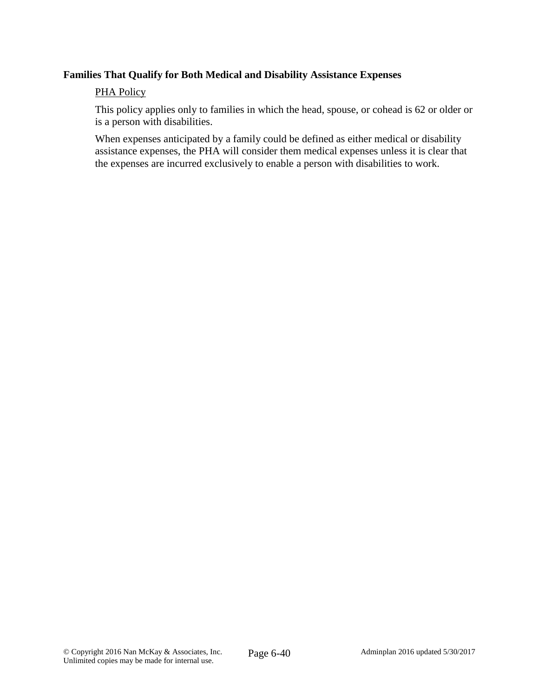#### **Families That Qualify for Both Medical and Disability Assistance Expenses**

#### PHA Policy

This policy applies only to families in which the head, spouse, or cohead is 62 or older or is a person with disabilities.

When expenses anticipated by a family could be defined as either medical or disability assistance expenses, the PHA will consider them medical expenses unless it is clear that the expenses are incurred exclusively to enable a person with disabilities to work.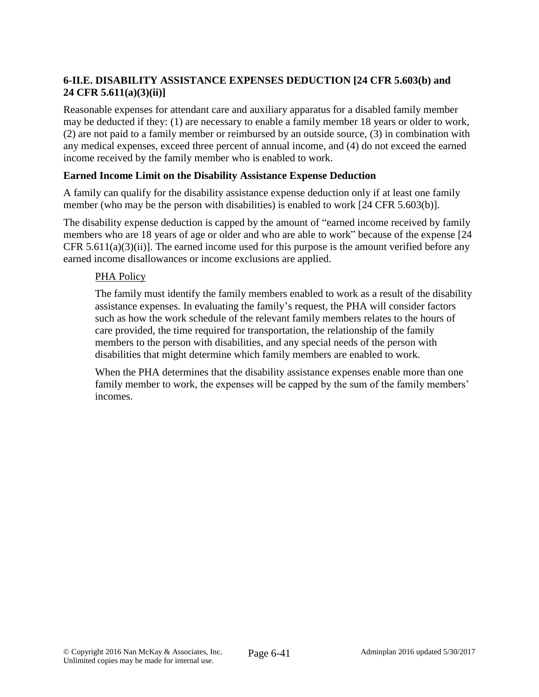# **6-II.E. DISABILITY ASSISTANCE EXPENSES DEDUCTION [24 CFR 5.603(b) and 24 CFR 5.611(a)(3)(ii)]**

Reasonable expenses for attendant care and auxiliary apparatus for a disabled family member may be deducted if they: (1) are necessary to enable a family member 18 years or older to work, (2) are not paid to a family member or reimbursed by an outside source, (3) in combination with any medical expenses, exceed three percent of annual income, and (4) do not exceed the earned income received by the family member who is enabled to work.

### **Earned Income Limit on the Disability Assistance Expense Deduction**

A family can qualify for the disability assistance expense deduction only if at least one family member (who may be the person with disabilities) is enabled to work [24 CFR 5.603(b)].

The disability expense deduction is capped by the amount of "earned income received by family members who are 18 years of age or older and who are able to work" because of the expense [24 CFR  $5.611(a)(3)(ii)$ . The earned income used for this purpose is the amount verified before any earned income disallowances or income exclusions are applied.

#### PHA Policy

The family must identify the family members enabled to work as a result of the disability assistance expenses. In evaluating the family's request, the PHA will consider factors such as how the work schedule of the relevant family members relates to the hours of care provided, the time required for transportation, the relationship of the family members to the person with disabilities, and any special needs of the person with disabilities that might determine which family members are enabled to work.

When the PHA determines that the disability assistance expenses enable more than one family member to work, the expenses will be capped by the sum of the family members' incomes.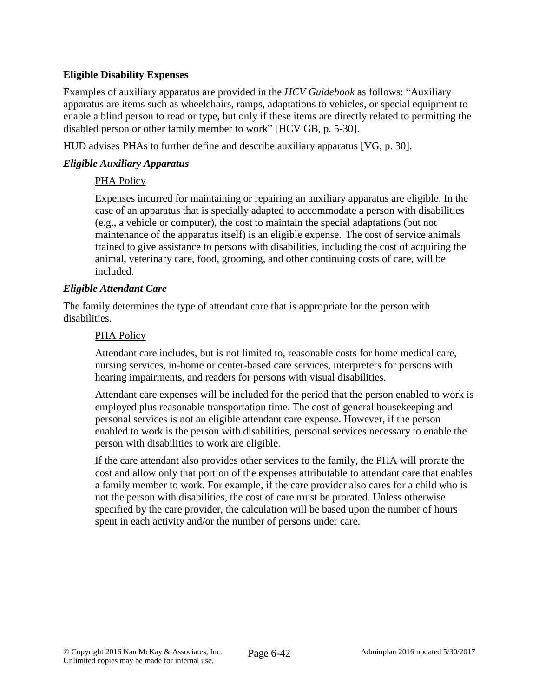## **Eligible Disability Expenses**

Examples of auxiliary apparatus are provided in the *HCV Guidebook* as follows: "Auxiliary apparatus are items such as wheelchairs, ramps, adaptations to vehicles, or special equipment to enable a blind person to read or type, but only if these items are directly related to permitting the disabled person or other family member to work" [HCV GB, p. 5-30].

HUD advises PHAs to further define and describe auxiliary apparatus [VG, p. 30].

### *Eligible Auxiliary Apparatus*

### PHA Policy

Expenses incurred for maintaining or repairing an auxiliary apparatus are eligible. In the case of an apparatus that is specially adapted to accommodate a person with disabilities (e.g., a vehicle or computer), the cost to maintain the special adaptations (but not maintenance of the apparatus itself) is an eligible expense. The cost of service animals trained to give assistance to persons with disabilities, including the cost of acquiring the animal, veterinary care, food, grooming, and other continuing costs of care, will be included.

#### *Eligible Attendant Care*

The family determines the type of attendant care that is appropriate for the person with disabilities.

#### PHA Policy

Attendant care includes, but is not limited to, reasonable costs for home medical care, nursing services, in-home or center-based care services, interpreters for persons with hearing impairments, and readers for persons with visual disabilities.

Attendant care expenses will be included for the period that the person enabled to work is employed plus reasonable transportation time. The cost of general housekeeping and personal services is not an eligible attendant care expense. However, if the person enabled to work is the person with disabilities, personal services necessary to enable the person with disabilities to work are eligible.

If the care attendant also provides other services to the family, the PHA will prorate the cost and allow only that portion of the expenses attributable to attendant care that enables a family member to work. For example, if the care provider also cares for a child who is not the person with disabilities, the cost of care must be prorated. Unless otherwise specified by the care provider, the calculation will be based upon the number of hours spent in each activity and/or the number of persons under care.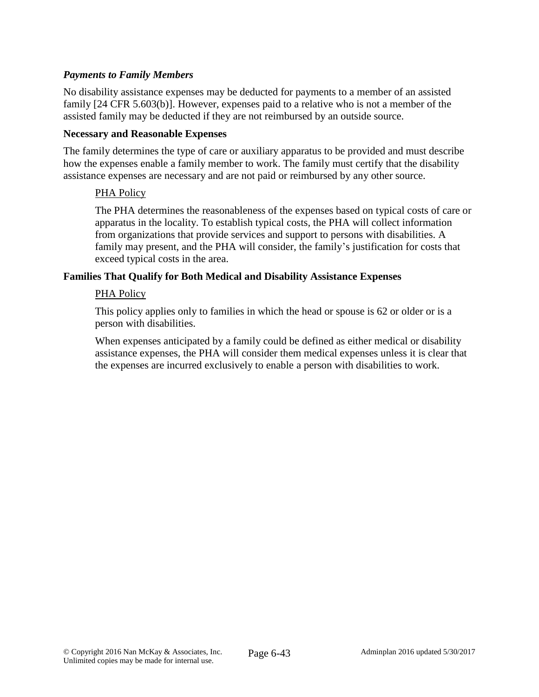### *Payments to Family Members*

No disability assistance expenses may be deducted for payments to a member of an assisted family [24 CFR 5.603(b)]. However, expenses paid to a relative who is not a member of the assisted family may be deducted if they are not reimbursed by an outside source.

#### **Necessary and Reasonable Expenses**

The family determines the type of care or auxiliary apparatus to be provided and must describe how the expenses enable a family member to work. The family must certify that the disability assistance expenses are necessary and are not paid or reimbursed by any other source.

#### PHA Policy

The PHA determines the reasonableness of the expenses based on typical costs of care or apparatus in the locality. To establish typical costs, the PHA will collect information from organizations that provide services and support to persons with disabilities. A family may present, and the PHA will consider, the family's justification for costs that exceed typical costs in the area.

#### **Families That Qualify for Both Medical and Disability Assistance Expenses**

#### PHA Policy

This policy applies only to families in which the head or spouse is 62 or older or is a person with disabilities.

When expenses anticipated by a family could be defined as either medical or disability assistance expenses, the PHA will consider them medical expenses unless it is clear that the expenses are incurred exclusively to enable a person with disabilities to work.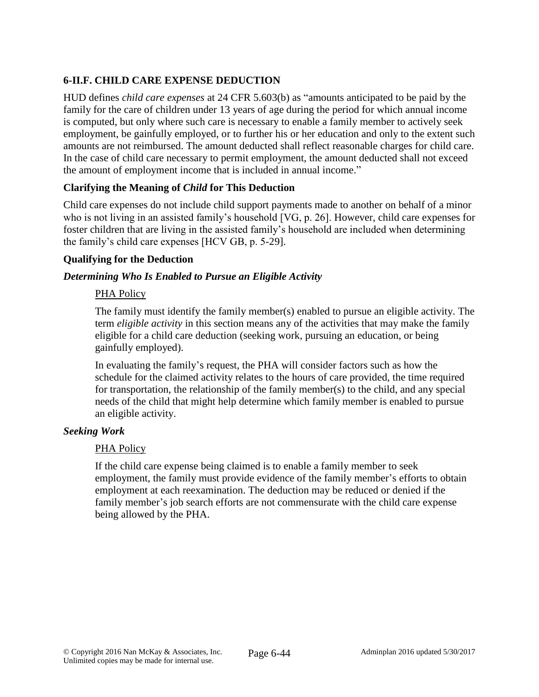# **6-II.F. CHILD CARE EXPENSE DEDUCTION**

HUD defines *child care expenses* at 24 CFR 5.603(b) as "amounts anticipated to be paid by the family for the care of children under 13 years of age during the period for which annual income is computed, but only where such care is necessary to enable a family member to actively seek employment, be gainfully employed, or to further his or her education and only to the extent such amounts are not reimbursed. The amount deducted shall reflect reasonable charges for child care. In the case of child care necessary to permit employment, the amount deducted shall not exceed the amount of employment income that is included in annual income."

### **Clarifying the Meaning of** *Child* **for This Deduction**

Child care expenses do not include child support payments made to another on behalf of a minor who is not living in an assisted family's household [VG, p. 26]. However, child care expenses for foster children that are living in the assisted family's household are included when determining the family's child care expenses [HCV GB, p. 5-29].

### **Qualifying for the Deduction**

### *Determining Who Is Enabled to Pursue an Eligible Activity*

### PHA Policy

The family must identify the family member(s) enabled to pursue an eligible activity. The term *eligible activity* in this section means any of the activities that may make the family eligible for a child care deduction (seeking work, pursuing an education, or being gainfully employed).

In evaluating the family's request, the PHA will consider factors such as how the schedule for the claimed activity relates to the hours of care provided, the time required for transportation, the relationship of the family member(s) to the child, and any special needs of the child that might help determine which family member is enabled to pursue an eligible activity.

### *Seeking Work*

### PHA Policy

If the child care expense being claimed is to enable a family member to seek employment, the family must provide evidence of the family member's efforts to obtain employment at each reexamination. The deduction may be reduced or denied if the family member's job search efforts are not commensurate with the child care expense being allowed by the PHA.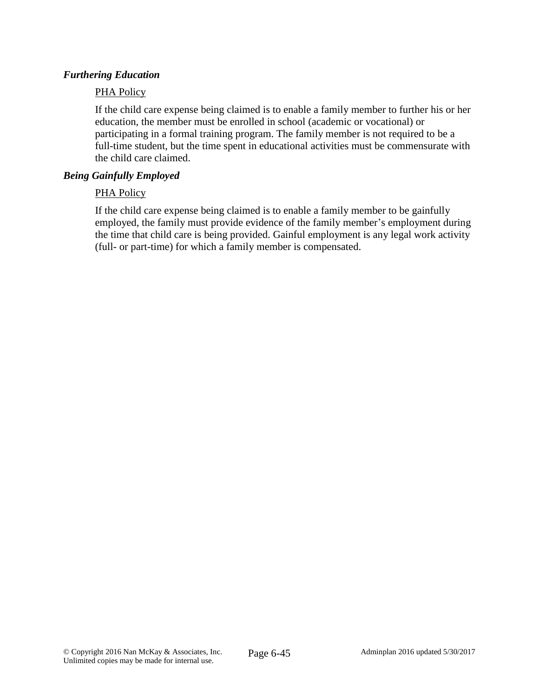#### *Furthering Education*

#### PHA Policy

If the child care expense being claimed is to enable a family member to further his or her education, the member must be enrolled in school (academic or vocational) or participating in a formal training program. The family member is not required to be a full-time student, but the time spent in educational activities must be commensurate with the child care claimed.

#### *Being Gainfully Employed*

#### PHA Policy

If the child care expense being claimed is to enable a family member to be gainfully employed, the family must provide evidence of the family member's employment during the time that child care is being provided. Gainful employment is any legal work activity (full- or part-time) for which a family member is compensated.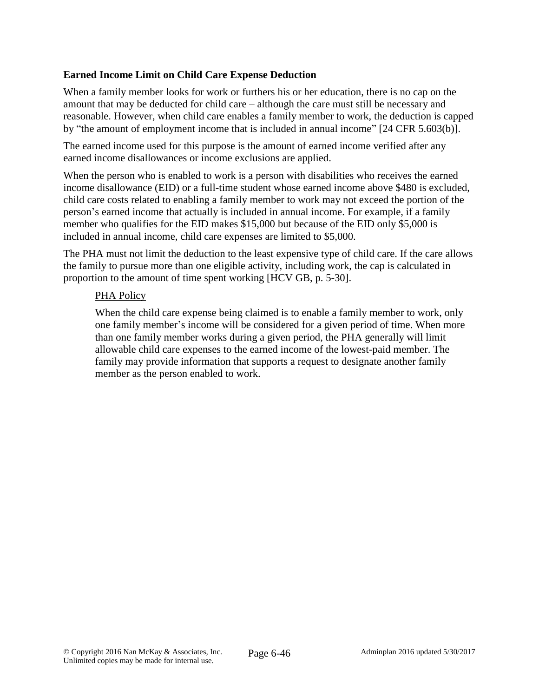### **Earned Income Limit on Child Care Expense Deduction**

When a family member looks for work or furthers his or her education, there is no cap on the amount that may be deducted for child care – although the care must still be necessary and reasonable. However, when child care enables a family member to work, the deduction is capped by "the amount of employment income that is included in annual income" [24 CFR 5.603(b)].

The earned income used for this purpose is the amount of earned income verified after any earned income disallowances or income exclusions are applied.

When the person who is enabled to work is a person with disabilities who receives the earned income disallowance (EID) or a full-time student whose earned income above \$480 is excluded, child care costs related to enabling a family member to work may not exceed the portion of the person's earned income that actually is included in annual income. For example, if a family member who qualifies for the EID makes \$15,000 but because of the EID only \$5,000 is included in annual income, child care expenses are limited to \$5,000.

The PHA must not limit the deduction to the least expensive type of child care. If the care allows the family to pursue more than one eligible activity, including work, the cap is calculated in proportion to the amount of time spent working [HCV GB, p. 5-30].

#### PHA Policy

When the child care expense being claimed is to enable a family member to work, only one family member's income will be considered for a given period of time. When more than one family member works during a given period, the PHA generally will limit allowable child care expenses to the earned income of the lowest-paid member. The family may provide information that supports a request to designate another family member as the person enabled to work.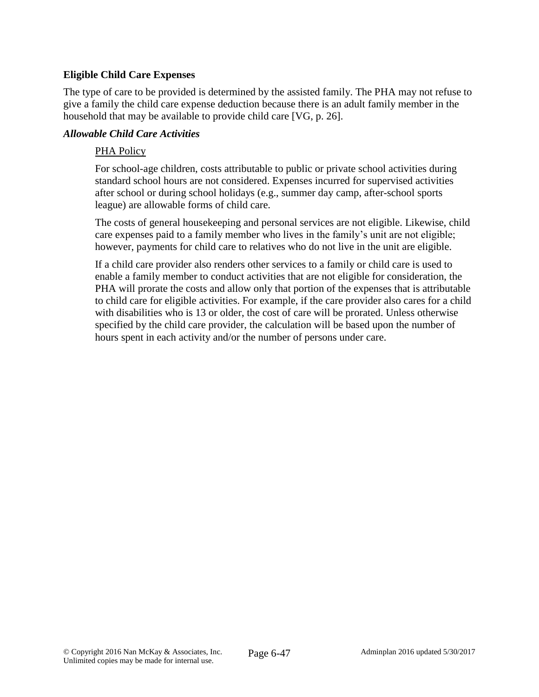### **Eligible Child Care Expenses**

The type of care to be provided is determined by the assisted family. The PHA may not refuse to give a family the child care expense deduction because there is an adult family member in the household that may be available to provide child care [VG, p. 26].

#### *Allowable Child Care Activities*

#### PHA Policy

For school-age children, costs attributable to public or private school activities during standard school hours are not considered. Expenses incurred for supervised activities after school or during school holidays (e.g., summer day camp, after-school sports league) are allowable forms of child care.

The costs of general housekeeping and personal services are not eligible. Likewise, child care expenses paid to a family member who lives in the family's unit are not eligible; however, payments for child care to relatives who do not live in the unit are eligible.

If a child care provider also renders other services to a family or child care is used to enable a family member to conduct activities that are not eligible for consideration, the PHA will prorate the costs and allow only that portion of the expenses that is attributable to child care for eligible activities. For example, if the care provider also cares for a child with disabilities who is 13 or older, the cost of care will be prorated. Unless otherwise specified by the child care provider, the calculation will be based upon the number of hours spent in each activity and/or the number of persons under care.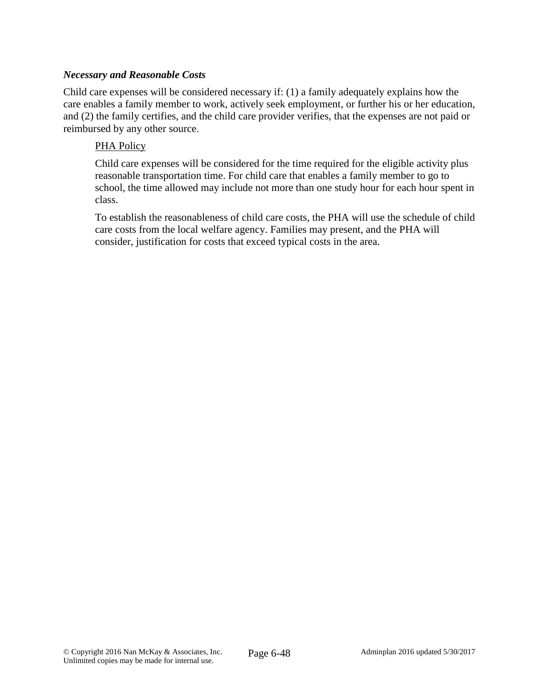#### *Necessary and Reasonable Costs*

Child care expenses will be considered necessary if: (1) a family adequately explains how the care enables a family member to work, actively seek employment, or further his or her education, and (2) the family certifies, and the child care provider verifies, that the expenses are not paid or reimbursed by any other source.

#### PHA Policy

Child care expenses will be considered for the time required for the eligible activity plus reasonable transportation time. For child care that enables a family member to go to school, the time allowed may include not more than one study hour for each hour spent in class.

To establish the reasonableness of child care costs, the PHA will use the schedule of child care costs from the local welfare agency. Families may present, and the PHA will consider, justification for costs that exceed typical costs in the area.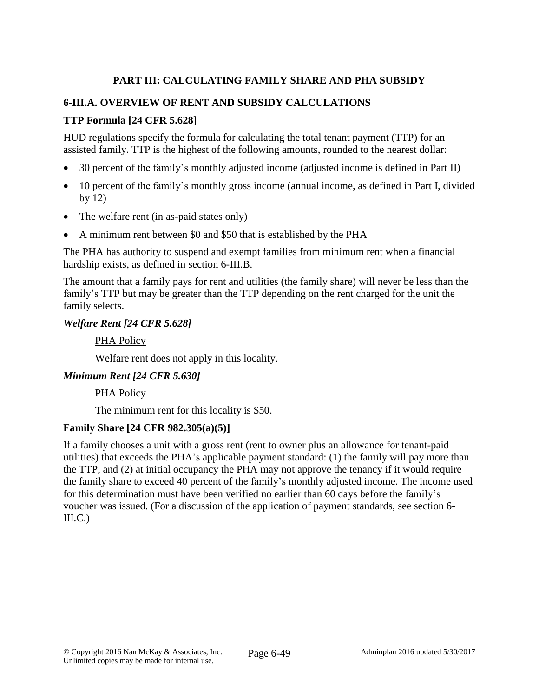# **PART III: CALCULATING FAMILY SHARE AND PHA SUBSIDY**

## **6-III.A. OVERVIEW OF RENT AND SUBSIDY CALCULATIONS**

## **TTP Formula [24 CFR 5.628]**

HUD regulations specify the formula for calculating the total tenant payment (TTP) for an assisted family. TTP is the highest of the following amounts, rounded to the nearest dollar:

- 30 percent of the family's monthly adjusted income (adjusted income is defined in Part II)
- 10 percent of the family's monthly gross income (annual income, as defined in Part I, divided by 12)
- The welfare rent (in as-paid states only)
- A minimum rent between \$0 and \$50 that is established by the PHA

The PHA has authority to suspend and exempt families from minimum rent when a financial hardship exists, as defined in section 6-III.B.

The amount that a family pays for rent and utilities (the family share) will never be less than the family's TTP but may be greater than the TTP depending on the rent charged for the unit the family selects.

#### *Welfare Rent [24 CFR 5.628]*

#### PHA Policy

Welfare rent does not apply in this locality.

### *Minimum Rent [24 CFR 5.630]*

#### PHA Policy

The minimum rent for this locality is \$50.

#### **Family Share [24 CFR 982.305(a)(5)]**

If a family chooses a unit with a gross rent (rent to owner plus an allowance for tenant-paid utilities) that exceeds the PHA's applicable payment standard: (1) the family will pay more than the TTP, and (2) at initial occupancy the PHA may not approve the tenancy if it would require the family share to exceed 40 percent of the family's monthly adjusted income. The income used for this determination must have been verified no earlier than 60 days before the family's voucher was issued. (For a discussion of the application of payment standards, see section 6-  $III.C.)$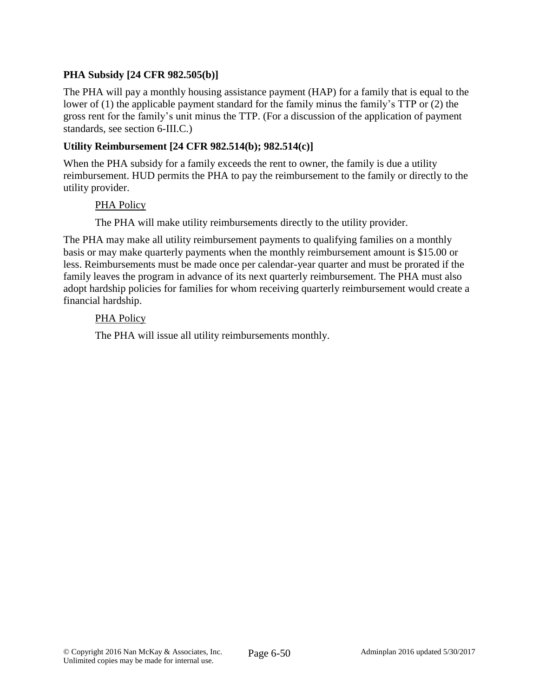## **PHA Subsidy [24 CFR 982.505(b)]**

The PHA will pay a monthly housing assistance payment (HAP) for a family that is equal to the lower of (1) the applicable payment standard for the family minus the family's TTP or (2) the gross rent for the family's unit minus the TTP. (For a discussion of the application of payment standards, see section 6-III.C.)

#### **Utility Reimbursement [24 CFR 982.514(b); 982.514(c)]**

When the PHA subsidy for a family exceeds the rent to owner, the family is due a utility reimbursement. HUD permits the PHA to pay the reimbursement to the family or directly to the utility provider.

#### PHA Policy

The PHA will make utility reimbursements directly to the utility provider.

The PHA may make all utility reimbursement payments to qualifying families on a monthly basis or may make quarterly payments when the monthly reimbursement amount is \$15.00 or less. Reimbursements must be made once per calendar-year quarter and must be prorated if the family leaves the program in advance of its next quarterly reimbursement. The PHA must also adopt hardship policies for families for whom receiving quarterly reimbursement would create a financial hardship.

#### PHA Policy

The PHA will issue all utility reimbursements monthly.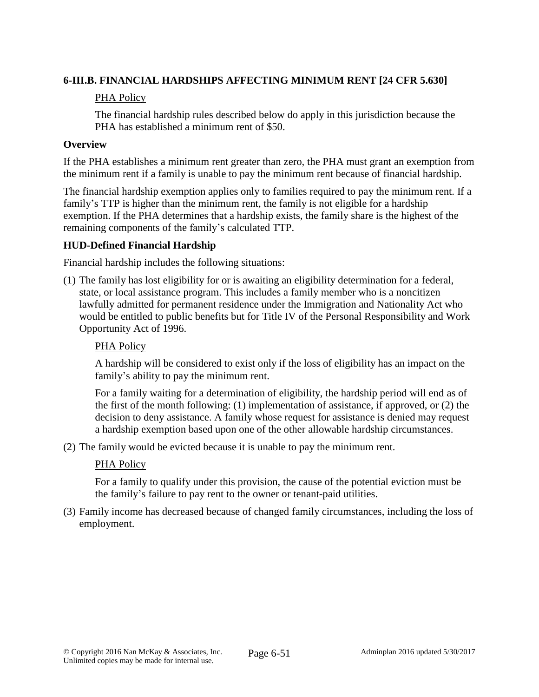## **6-III.B. FINANCIAL HARDSHIPS AFFECTING MINIMUM RENT [24 CFR 5.630]**

## PHA Policy

The financial hardship rules described below do apply in this jurisdiction because the PHA has established a minimum rent of \$50.

## **Overview**

If the PHA establishes a minimum rent greater than zero, the PHA must grant an exemption from the minimum rent if a family is unable to pay the minimum rent because of financial hardship.

The financial hardship exemption applies only to families required to pay the minimum rent. If a family's TTP is higher than the minimum rent, the family is not eligible for a hardship exemption. If the PHA determines that a hardship exists, the family share is the highest of the remaining components of the family's calculated TTP.

## **HUD-Defined Financial Hardship**

Financial hardship includes the following situations:

(1) The family has lost eligibility for or is awaiting an eligibility determination for a federal, state, or local assistance program. This includes a family member who is a noncitizen lawfully admitted for permanent residence under the Immigration and Nationality Act who would be entitled to public benefits but for Title IV of the Personal Responsibility and Work Opportunity Act of 1996.

## PHA Policy

A hardship will be considered to exist only if the loss of eligibility has an impact on the family's ability to pay the minimum rent.

For a family waiting for a determination of eligibility, the hardship period will end as of the first of the month following: (1) implementation of assistance, if approved, or (2) the decision to deny assistance. A family whose request for assistance is denied may request a hardship exemption based upon one of the other allowable hardship circumstances.

(2) The family would be evicted because it is unable to pay the minimum rent.

### PHA Policy

For a family to qualify under this provision, the cause of the potential eviction must be the family's failure to pay rent to the owner or tenant-paid utilities.

(3) Family income has decreased because of changed family circumstances, including the loss of employment.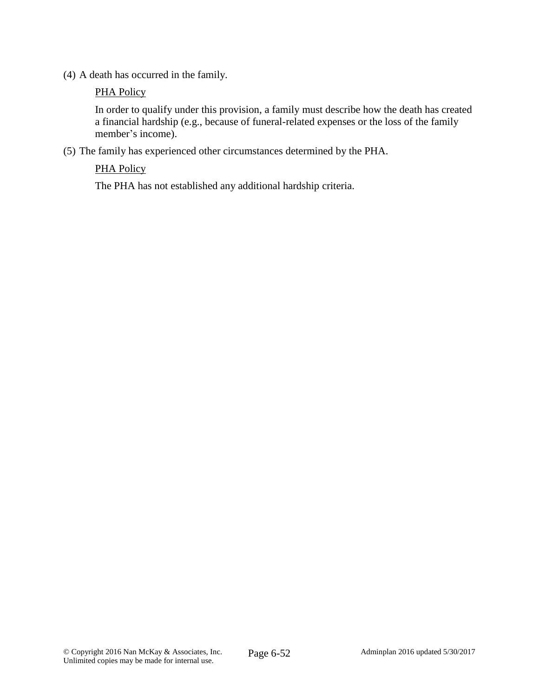(4) A death has occurred in the family.

#### PHA Policy

In order to qualify under this provision, a family must describe how the death has created a financial hardship (e.g., because of funeral-related expenses or the loss of the family member's income).

(5) The family has experienced other circumstances determined by the PHA.

## PHA Policy

The PHA has not established any additional hardship criteria.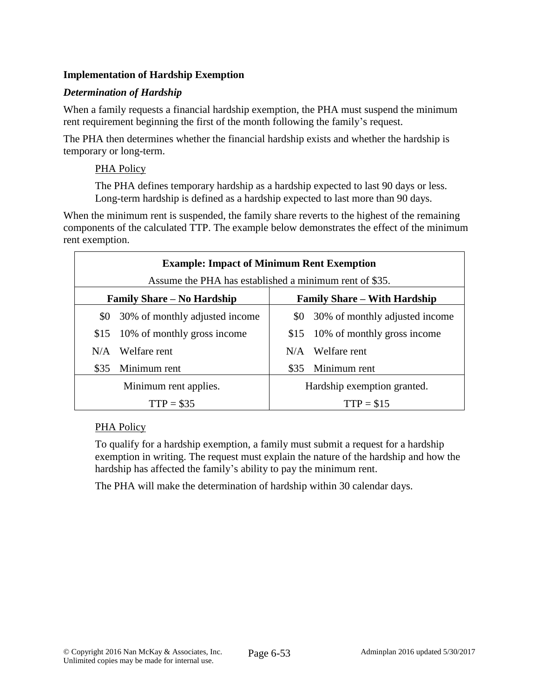# **Implementation of Hardship Exemption**

## *Determination of Hardship*

When a family requests a financial hardship exemption, the PHA must suspend the minimum rent requirement beginning the first of the month following the family's request.

The PHA then determines whether the financial hardship exists and whether the hardship is temporary or long-term.

### PHA Policy

The PHA defines temporary hardship as a hardship expected to last 90 days or less. Long-term hardship is defined as a hardship expected to last more than 90 days.

When the minimum rent is suspended, the family share reverts to the highest of the remaining components of the calculated TTP. The example below demonstrates the effect of the minimum rent exemption.

| <b>Example: Impact of Minimum Rent Exemption</b><br>Assume the PHA has established a minimum rent of \$35. |                                  |                                     |                                    |  |
|------------------------------------------------------------------------------------------------------------|----------------------------------|-------------------------------------|------------------------------------|--|
| <b>Family Share – No Hardship</b>                                                                          |                                  | <b>Family Share – With Hardship</b> |                                    |  |
| \$0                                                                                                        | 30% of monthly adjusted income   |                                     | \$0 30% of monthly adjusted income |  |
|                                                                                                            | \$15 10% of monthly gross income |                                     | \$15 10% of monthly gross income   |  |
| N/A                                                                                                        | Welfare rent                     | N/A                                 | Welfare rent                       |  |
| \$35                                                                                                       | Minimum rent                     |                                     | \$35 Minimum rent                  |  |
| Minimum rent applies.                                                                                      |                                  | Hardship exemption granted.         |                                    |  |
| $TTP = $35$                                                                                                |                                  | $TTP = $15$                         |                                    |  |

### PHA Policy

To qualify for a hardship exemption, a family must submit a request for a hardship exemption in writing. The request must explain the nature of the hardship and how the hardship has affected the family's ability to pay the minimum rent.

The PHA will make the determination of hardship within 30 calendar days.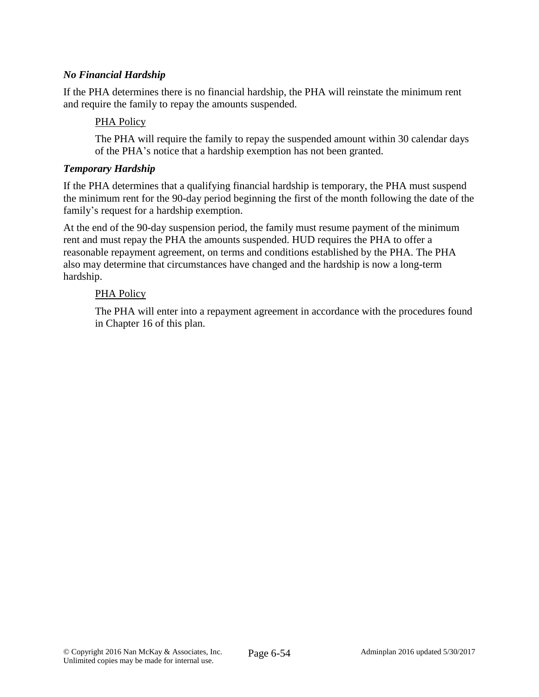## *No Financial Hardship*

If the PHA determines there is no financial hardship, the PHA will reinstate the minimum rent and require the family to repay the amounts suspended.

#### PHA Policy

The PHA will require the family to repay the suspended amount within 30 calendar days of the PHA's notice that a hardship exemption has not been granted.

#### *Temporary Hardship*

If the PHA determines that a qualifying financial hardship is temporary, the PHA must suspend the minimum rent for the 90-day period beginning the first of the month following the date of the family's request for a hardship exemption.

At the end of the 90-day suspension period, the family must resume payment of the minimum rent and must repay the PHA the amounts suspended. HUD requires the PHA to offer a reasonable repayment agreement, on terms and conditions established by the PHA. The PHA also may determine that circumstances have changed and the hardship is now a long-term hardship.

#### PHA Policy

The PHA will enter into a repayment agreement in accordance with the procedures found in Chapter 16 of this plan.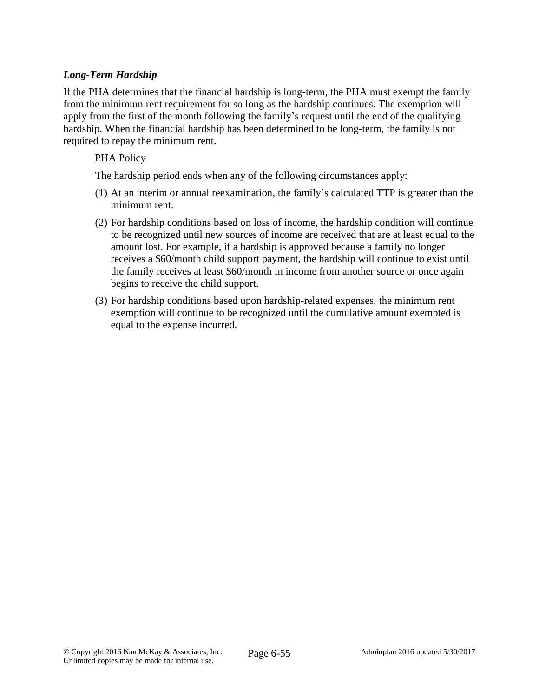## *Long-Term Hardship*

If the PHA determines that the financial hardship is long-term, the PHA must exempt the family from the minimum rent requirement for so long as the hardship continues. The exemption will apply from the first of the month following the family's request until the end of the qualifying hardship. When the financial hardship has been determined to be long-term, the family is not required to repay the minimum rent.

#### PHA Policy

The hardship period ends when any of the following circumstances apply:

- (1) At an interim or annual reexamination, the family's calculated TTP is greater than the minimum rent.
- (2) For hardship conditions based on loss of income, the hardship condition will continue to be recognized until new sources of income are received that are at least equal to the amount lost. For example, if a hardship is approved because a family no longer receives a \$60/month child support payment, the hardship will continue to exist until the family receives at least \$60/month in income from another source or once again begins to receive the child support.
- (3) For hardship conditions based upon hardship-related expenses, the minimum rent exemption will continue to be recognized until the cumulative amount exempted is equal to the expense incurred.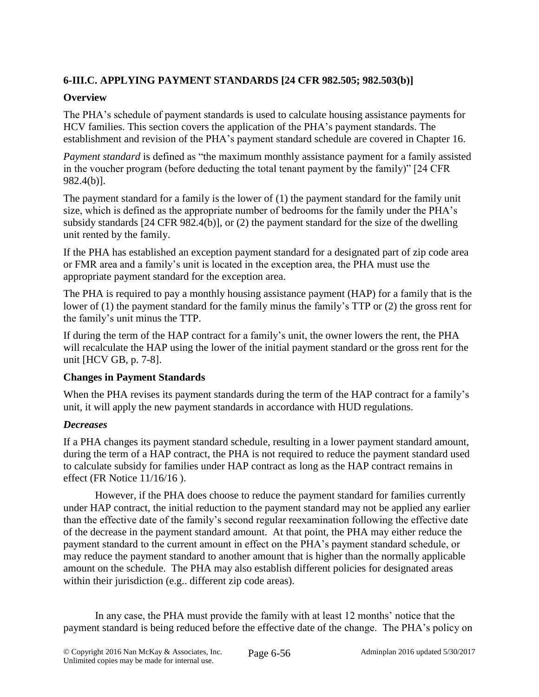# **6-III.C. APPLYING PAYMENT STANDARDS [24 CFR 982.505; 982.503(b)]**

## **Overview**

The PHA's schedule of payment standards is used to calculate housing assistance payments for HCV families. This section covers the application of the PHA's payment standards. The establishment and revision of the PHA's payment standard schedule are covered in Chapter 16.

*Payment standard* is defined as "the maximum monthly assistance payment for a family assisted in the voucher program (before deducting the total tenant payment by the family)" [24 CFR 982.4(b)].

The payment standard for a family is the lower of (1) the payment standard for the family unit size, which is defined as the appropriate number of bedrooms for the family under the PHA's subsidy standards [24 CFR 982.4(b)], or (2) the payment standard for the size of the dwelling unit rented by the family.

If the PHA has established an exception payment standard for a designated part of zip code area or FMR area and a family's unit is located in the exception area, the PHA must use the appropriate payment standard for the exception area.

The PHA is required to pay a monthly housing assistance payment (HAP) for a family that is the lower of (1) the payment standard for the family minus the family's TTP or (2) the gross rent for the family's unit minus the TTP.

If during the term of the HAP contract for a family's unit, the owner lowers the rent, the PHA will recalculate the HAP using the lower of the initial payment standard or the gross rent for the unit [HCV GB, p. 7-8].

### **Changes in Payment Standards**

When the PHA revises its payment standards during the term of the HAP contract for a family's unit, it will apply the new payment standards in accordance with HUD regulations.

# *Decreases*

If a PHA changes its payment standard schedule, resulting in a lower payment standard amount, during the term of a HAP contract, the PHA is not required to reduce the payment standard used to calculate subsidy for families under HAP contract as long as the HAP contract remains in effect (FR Notice 11/16/16 ).

However, if the PHA does choose to reduce the payment standard for families currently under HAP contract, the initial reduction to the payment standard may not be applied any earlier than the effective date of the family's second regular reexamination following the effective date of the decrease in the payment standard amount. At that point, the PHA may either reduce the payment standard to the current amount in effect on the PHA's payment standard schedule, or may reduce the payment standard to another amount that is higher than the normally applicable amount on the schedule. The PHA may also establish different policies for designated areas within their jurisdiction (e.g.. different zip code areas).

In any case, the PHA must provide the family with at least 12 months' notice that the payment standard is being reduced before the effective date of the change. The PHA's policy on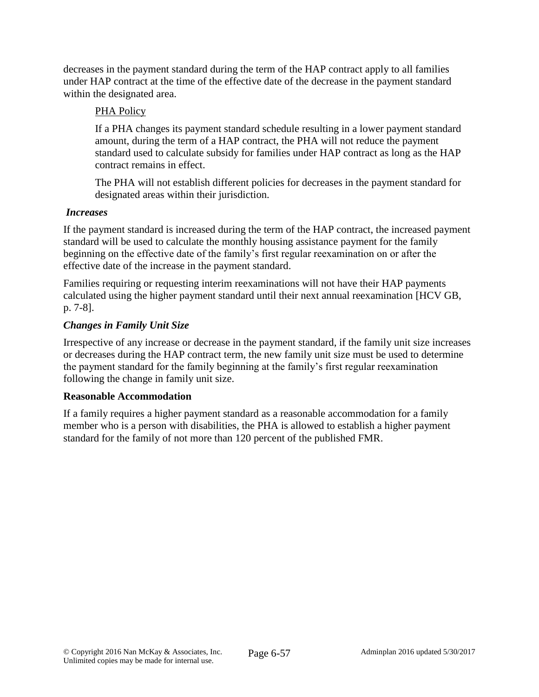decreases in the payment standard during the term of the HAP contract apply to all families under HAP contract at the time of the effective date of the decrease in the payment standard within the designated area.

## PHA Policy

If a PHA changes its payment standard schedule resulting in a lower payment standard amount, during the term of a HAP contract, the PHA will not reduce the payment standard used to calculate subsidy for families under HAP contract as long as the HAP contract remains in effect.

The PHA will not establish different policies for decreases in the payment standard for designated areas within their jurisdiction.

### *Increases*

If the payment standard is increased during the term of the HAP contract, the increased payment standard will be used to calculate the monthly housing assistance payment for the family beginning on the effective date of the family's first regular reexamination on or after the effective date of the increase in the payment standard.

Families requiring or requesting interim reexaminations will not have their HAP payments calculated using the higher payment standard until their next annual reexamination [HCV GB, p. 7-8].

## *Changes in Family Unit Size*

Irrespective of any increase or decrease in the payment standard, if the family unit size increases or decreases during the HAP contract term, the new family unit size must be used to determine the payment standard for the family beginning at the family's first regular reexamination following the change in family unit size.

### **Reasonable Accommodation**

If a family requires a higher payment standard as a reasonable accommodation for a family member who is a person with disabilities, the PHA is allowed to establish a higher payment standard for the family of not more than 120 percent of the published FMR.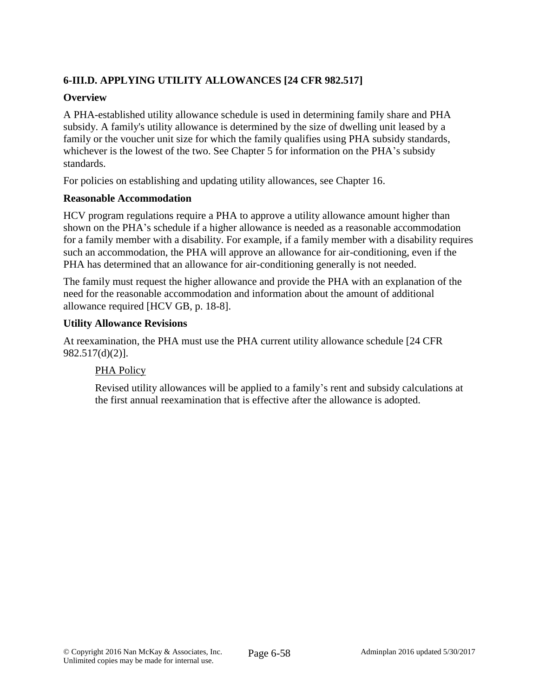# **6-III.D. APPLYING UTILITY ALLOWANCES [24 CFR 982.517]**

## **Overview**

A PHA-established utility allowance schedule is used in determining family share and PHA subsidy. A family's utility allowance is determined by the size of dwelling unit leased by a family or the voucher unit size for which the family qualifies using PHA subsidy standards, whichever is the lowest of the two. See Chapter 5 for information on the PHA's subsidy standards.

For policies on establishing and updating utility allowances, see Chapter 16.

### **Reasonable Accommodation**

HCV program regulations require a PHA to approve a utility allowance amount higher than shown on the PHA's schedule if a higher allowance is needed as a reasonable accommodation for a family member with a disability. For example, if a family member with a disability requires such an accommodation, the PHA will approve an allowance for air-conditioning, even if the PHA has determined that an allowance for air-conditioning generally is not needed.

The family must request the higher allowance and provide the PHA with an explanation of the need for the reasonable accommodation and information about the amount of additional allowance required [HCV GB, p. 18-8].

### **Utility Allowance Revisions**

At reexamination, the PHA must use the PHA current utility allowance schedule [24 CFR 982.517(d)(2)].

### PHA Policy

Revised utility allowances will be applied to a family's rent and subsidy calculations at the first annual reexamination that is effective after the allowance is adopted.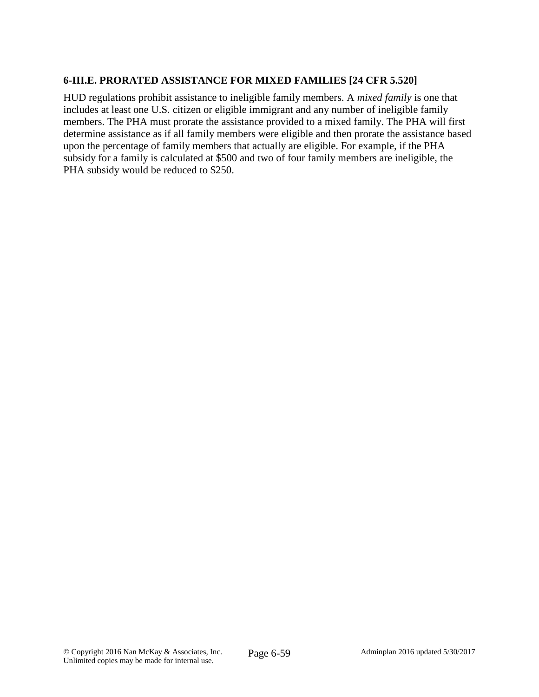## **6-III.E. PRORATED ASSISTANCE FOR MIXED FAMILIES [24 CFR 5.520]**

HUD regulations prohibit assistance to ineligible family members. A *mixed family* is one that includes at least one U.S. citizen or eligible immigrant and any number of ineligible family members. The PHA must prorate the assistance provided to a mixed family. The PHA will first determine assistance as if all family members were eligible and then prorate the assistance based upon the percentage of family members that actually are eligible. For example, if the PHA subsidy for a family is calculated at \$500 and two of four family members are ineligible, the PHA subsidy would be reduced to \$250.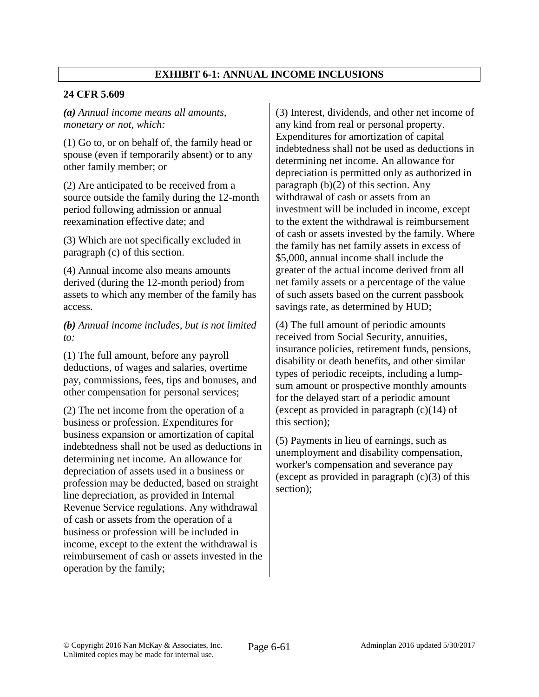## **EXHIBIT 6-1: ANNUAL INCOME INCLUSIONS**

#### **24 CFR 5.609**

*(a) Annual income means all amounts, monetary or not, which:*

(1) Go to, or on behalf of, the family head or spouse (even if temporarily absent) or to any other family member; or

(2) Are anticipated to be received from a source outside the family during the 12-month period following admission or annual reexamination effective date; and

(3) Which are not specifically excluded in paragraph (c) of this section.

(4) Annual income also means amounts derived (during the 12-month period) from assets to which any member of the family has access.

*(b) Annual income includes, but is not limited to:*

(1) The full amount, before any payroll deductions, of wages and salaries, overtime pay, commissions, fees, tips and bonuses, and other compensation for personal services;

(2) The net income from the operation of a business or profession. Expenditures for business expansion or amortization of capital indebtedness shall not be used as deductions in determining net income. An allowance for depreciation of assets used in a business or profession may be deducted, based on straight line depreciation, as provided in Internal Revenue Service regulations. Any withdrawal of cash or assets from the operation of a business or profession will be included in income, except to the extent the withdrawal is reimbursement of cash or assets invested in the operation by the family;

(3) Interest, dividends, and other net income of any kind from real or personal property. Expenditures for amortization of capital indebtedness shall not be used as deductions in determining net income. An allowance for depreciation is permitted only as authorized in paragraph (b)(2) of this section. Any withdrawal of cash or assets from an investment will be included in income, except to the extent the withdrawal is reimbursement of cash or assets invested by the family. Where the family has net family assets in excess of \$5,000, annual income shall include the greater of the actual income derived from all net family assets or a percentage of the value of such assets based on the current passbook savings rate, as determined by HUD;

(4) The full amount of periodic amounts received from Social Security, annuities, insurance policies, retirement funds, pensions, disability or death benefits, and other similar types of periodic receipts, including a lumpsum amount or prospective monthly amounts for the delayed start of a periodic amount (except as provided in paragraph  $(c)(14)$  of this section);

(5) Payments in lieu of earnings, such as unemployment and disability compensation, worker's compensation and severance pay (except as provided in paragraph  $(c)(3)$  of this section);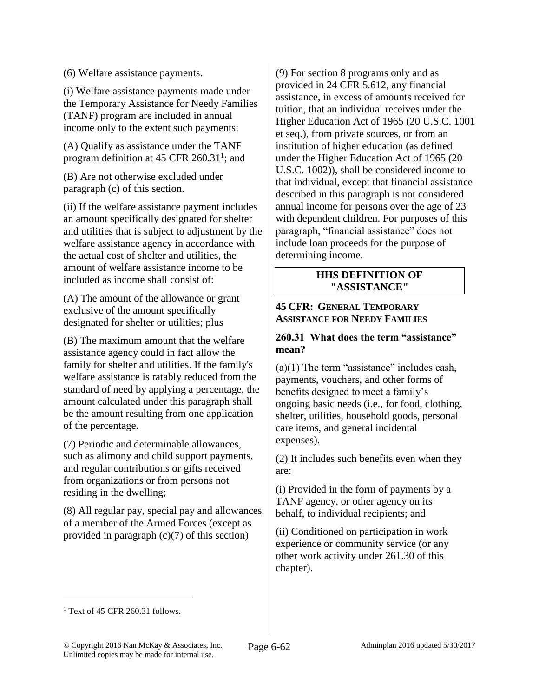(6) Welfare assistance payments.

(i) Welfare assistance payments made under the Temporary Assistance for Needy Families (TANF) program are included in annual income only to the extent such payments:

(A) Qualify as assistance under the TANF program definition at 45 CFR  $260.31^1$ ; and

(B) Are not otherwise excluded under paragraph (c) of this section.

(ii) If the welfare assistance payment includes an amount specifically designated for shelter and utilities that is subject to adjustment by the welfare assistance agency in accordance with the actual cost of shelter and utilities, the amount of welfare assistance income to be included as income shall consist of:

(A) The amount of the allowance or grant exclusive of the amount specifically designated for shelter or utilities; plus

(B) The maximum amount that the welfare assistance agency could in fact allow the family for shelter and utilities. If the family's welfare assistance is ratably reduced from the standard of need by applying a percentage, the amount calculated under this paragraph shall be the amount resulting from one application of the percentage.

(7) Periodic and determinable allowances, such as alimony and child support payments, and regular contributions or gifts received from organizations or from persons not residing in the dwelling;

(8) All regular pay, special pay and allowances of a member of the Armed Forces (except as provided in paragraph  $(c)(7)$  of this section)

(9) For section 8 programs only and as provided in 24 CFR 5.612, any financial assistance, in excess of amounts received for tuition, that an individual receives under the Higher Education Act of 1965 (20 U.S.C. 1001 et seq.), from private sources, or from an institution of higher education (as defined under the Higher Education Act of 1965 (20 U.S.C. 1002)), shall be considered income to that individual, except that financial assistance described in this paragraph is not considered annual income for persons over the age of 23 with dependent children. For purposes of this paragraph, "financial assistance" does not include loan proceeds for the purpose of determining income.

#### **HHS DEFINITION OF "ASSISTANCE"**

#### **45 CFR: GENERAL TEMPORARY ASSISTANCE FOR NEEDY FAMILIES**

### **260.31 What does the term "assistance" mean?**

 $(a)(1)$  The term "assistance" includes cash, payments, vouchers, and other forms of benefits designed to meet a family's ongoing basic needs (i.e., for food, clothing, shelter, utilities, household goods, personal care items, and general incidental expenses).

(2) It includes such benefits even when they are:

(i) Provided in the form of payments by a TANF agency, or other agency on its behalf, to individual recipients; and

(ii) Conditioned on participation in work experience or community service (or any other work activity under 261.30 of this chapter).

 $\overline{a}$ 

 $1$  Text of 45 CFR 260.31 follows.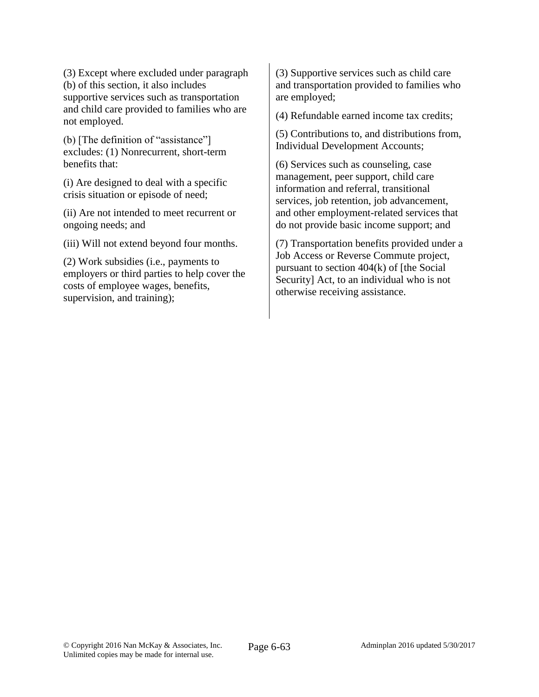(3) Except where excluded under paragraph (b) of this section, it also includes supportive services such as transportation and child care provided to families who are not employed.

(b) [The definition of "assistance"] excludes: (1) Nonrecurrent, short-term benefits that:

(i) Are designed to deal with a specific crisis situation or episode of need;

(ii) Are not intended to meet recurrent or ongoing needs; and

(iii) Will not extend beyond four months.

(2) Work subsidies (i.e., payments to employers or third parties to help cover the costs of employee wages, benefits, supervision, and training);

(3) Supportive services such as child care and transportation provided to families who are employed;

(4) Refundable earned income tax credits;

(5) Contributions to, and distributions from, Individual Development Accounts;

(6) Services such as counseling, case management, peer support, child care information and referral, transitional services, job retention, job advancement, and other employment-related services that do not provide basic income support; and

(7) Transportation benefits provided under a Job Access or Reverse Commute project, pursuant to section 404(k) of [the Social Security] Act, to an individual who is not otherwise receiving assistance.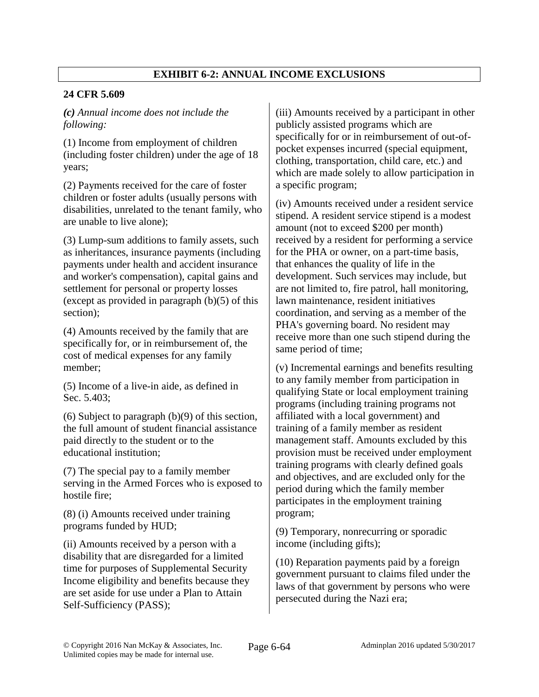# **EXHIBIT 6-2: ANNUAL INCOME EXCLUSIONS**

## **24 CFR 5.609**

*(c) Annual income does not include the following:*

(1) Income from employment of children (including foster children) under the age of 18 years;

(2) Payments received for the care of foster children or foster adults (usually persons with disabilities, unrelated to the tenant family, who are unable to live alone);

(3) Lump-sum additions to family assets, such as inheritances, insurance payments (including payments under health and accident insurance and worker's compensation), capital gains and settlement for personal or property losses (except as provided in paragraph  $(b)(5)$  of this section);

(4) Amounts received by the family that are specifically for, or in reimbursement of, the cost of medical expenses for any family member;

(5) Income of a live-in aide, as defined in Sec. 5.403;

(6) Subject to paragraph (b)(9) of this section, the full amount of student financial assistance paid directly to the student or to the educational institution;

(7) The special pay to a family member serving in the Armed Forces who is exposed to hostile fire;

(8) (i) Amounts received under training programs funded by HUD;

(ii) Amounts received by a person with a disability that are disregarded for a limited time for purposes of Supplemental Security Income eligibility and benefits because they are set aside for use under a Plan to Attain Self-Sufficiency (PASS);

(iii) Amounts received by a participant in other publicly assisted programs which are specifically for or in reimbursement of out-ofpocket expenses incurred (special equipment, clothing, transportation, child care, etc.) and which are made solely to allow participation in a specific program;

(iv) Amounts received under a resident service stipend. A resident service stipend is a modest amount (not to exceed \$200 per month) received by a resident for performing a service for the PHA or owner, on a part-time basis, that enhances the quality of life in the development. Such services may include, but are not limited to, fire patrol, hall monitoring, lawn maintenance, resident initiatives coordination, and serving as a member of the PHA's governing board. No resident may receive more than one such stipend during the same period of time;

(v) Incremental earnings and benefits resulting to any family member from participation in qualifying State or local employment training programs (including training programs not affiliated with a local government) and training of a family member as resident management staff. Amounts excluded by this provision must be received under employment training programs with clearly defined goals and objectives, and are excluded only for the period during which the family member participates in the employment training program;

(9) Temporary, nonrecurring or sporadic income (including gifts);

(10) Reparation payments paid by a foreign government pursuant to claims filed under the laws of that government by persons who were persecuted during the Nazi era;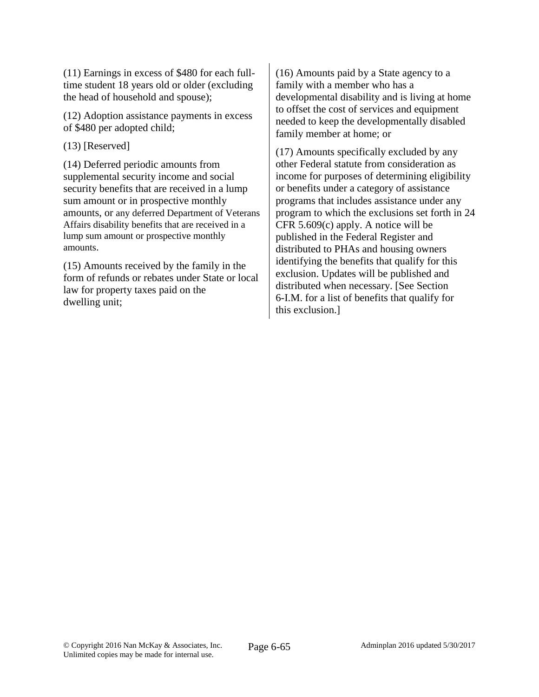(11) Earnings in excess of \$480 for each fulltime student 18 years old or older (excluding the head of household and spouse);

(12) Adoption assistance payments in excess of \$480 per adopted child;

(13) [Reserved]

(14) Deferred periodic amounts from supplemental security income and social security benefits that are received in a lump sum amount or in prospective monthly amounts, or any deferred Department of Veterans Affairs disability benefits that are received in a lump sum amount or prospective monthly amounts.

(15) Amounts received by the family in the form of refunds or rebates under State or local law for property taxes paid on the dwelling unit;

(16) Amounts paid by a State agency to a family with a member who has a developmental disability and is living at home to offset the cost of services and equipment needed to keep the developmentally disabled family member at home; or

(17) Amounts specifically excluded by any other Federal statute from consideration as income for purposes of determining eligibility or benefits under a category of assistance programs that includes assistance under any program to which the exclusions set forth in 24 CFR 5.609(c) apply. A notice will be published in the Federal Register and distributed to PHAs and housing owners identifying the benefits that qualify for this exclusion. Updates will be published and distributed when necessary. [See Section 6-I.M. for a list of benefits that qualify for this exclusion.]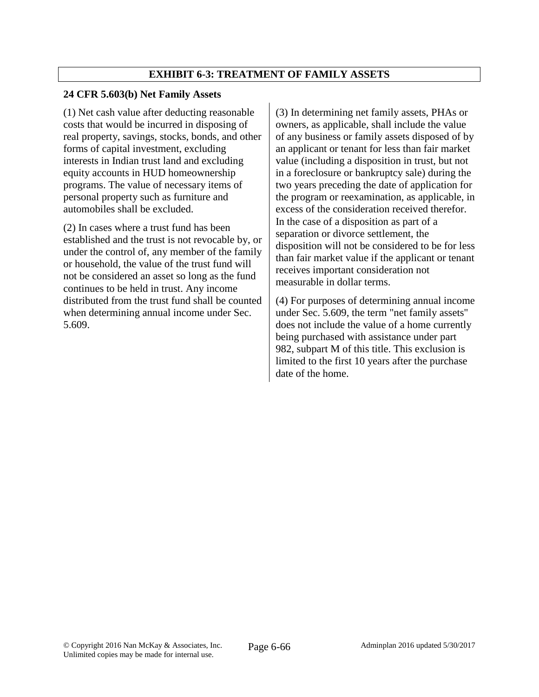## **EXHIBIT 6-3: TREATMENT OF FAMILY ASSETS**

### **24 CFR 5.603(b) Net Family Assets**

(1) Net cash value after deducting reasonable costs that would be incurred in disposing of real property, savings, stocks, bonds, and other forms of capital investment, excluding interests in Indian trust land and excluding equity accounts in HUD homeownership programs. The value of necessary items of personal property such as furniture and automobiles shall be excluded.

(2) In cases where a trust fund has been established and the trust is not revocable by, or under the control of, any member of the family or household, the value of the trust fund will not be considered an asset so long as the fund continues to be held in trust. Any income distributed from the trust fund shall be counted when determining annual income under Sec. 5.609.

(3) In determining net family assets, PHAs or owners, as applicable, shall include the value of any business or family assets disposed of by an applicant or tenant for less than fair market value (including a disposition in trust, but not in a foreclosure or bankruptcy sale) during the two years preceding the date of application for the program or reexamination, as applicable, in excess of the consideration received therefor. In the case of a disposition as part of a separation or divorce settlement, the disposition will not be considered to be for less than fair market value if the applicant or tenant receives important consideration not measurable in dollar terms.

(4) For purposes of determining annual income under Sec. 5.609, the term "net family assets'' does not include the value of a home currently being purchased with assistance under part 982, subpart M of this title. This exclusion is limited to the first 10 years after the purchase date of the home.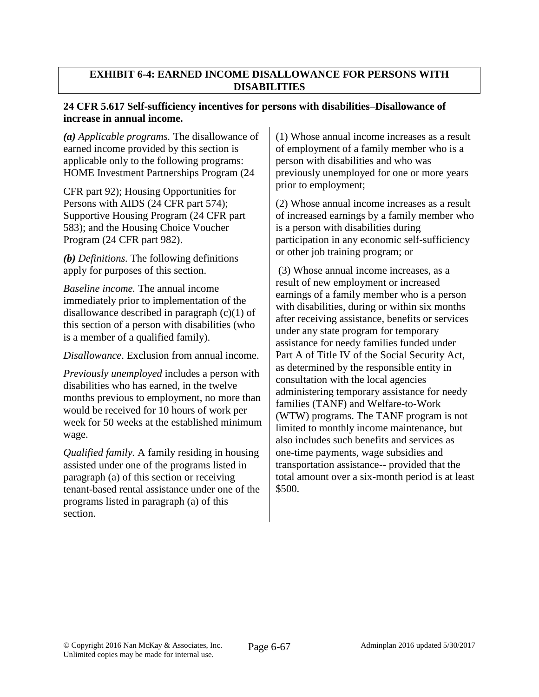### **EXHIBIT 6-4: EARNED INCOME DISALLOWANCE FOR PERSONS WITH DISABILITIES**

### **24 CFR 5.617 Self-sufficiency incentives for persons with disabilities–Disallowance of increase in annual income.**

*(a) Applicable programs.* The disallowance of earned income provided by this section is applicable only to the following programs: HOME Investment Partnerships Program (24

CFR part 92); Housing Opportunities for Persons with AIDS (24 CFR part 574); Supportive Housing Program (24 CFR part 583); and the Housing Choice Voucher Program (24 CFR part 982).

*(b) Definitions.* The following definitions apply for purposes of this section.

*Baseline income.* The annual income immediately prior to implementation of the disallowance described in paragraph (c)(1) of this section of a person with disabilities (who is a member of a qualified family).

*Disallowance*. Exclusion from annual income.

*Previously unemployed* includes a person with disabilities who has earned, in the twelve months previous to employment, no more than would be received for 10 hours of work per week for 50 weeks at the established minimum wage.

*Qualified family.* A family residing in housing assisted under one of the programs listed in paragraph (a) of this section or receiving tenant-based rental assistance under one of the programs listed in paragraph (a) of this section.

(1) Whose annual income increases as a result of employment of a family member who is a person with disabilities and who was previously unemployed for one or more years prior to employment;

(2) Whose annual income increases as a result of increased earnings by a family member who is a person with disabilities during participation in any economic self-sufficiency or other job training program; or

(3) Whose annual income increases, as a result of new employment or increased earnings of a family member who is a person with disabilities, during or within six months after receiving assistance, benefits or services under any state program for temporary assistance for needy families funded under Part A of Title IV of the Social Security Act, as determined by the responsible entity in consultation with the local agencies administering temporary assistance for needy families (TANF) and Welfare-to-Work (WTW) programs. The TANF program is not limited to monthly income maintenance, but also includes such benefits and services as one-time payments, wage subsidies and transportation assistance-- provided that the total amount over a six-month period is at least \$500.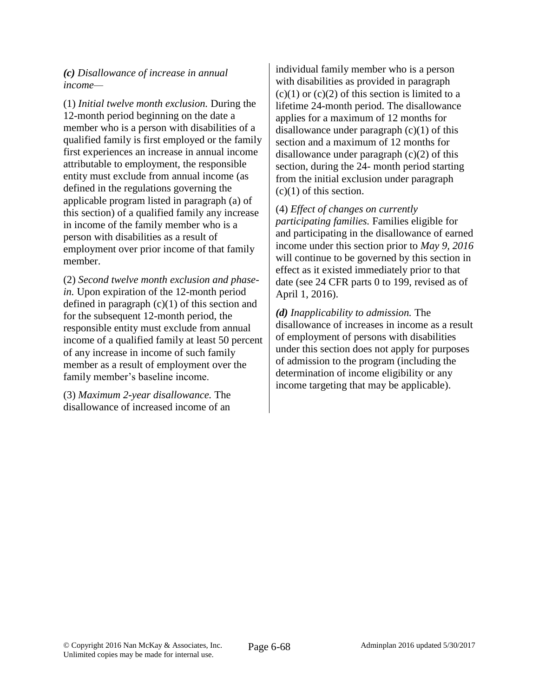*(c) Disallowance of increase in annual income—*

(1) *Initial twelve month exclusion.* During the 12-month period beginning on the date a member who is a person with disabilities of a qualified family is first employed or the family first experiences an increase in annual income attributable to employment, the responsible entity must exclude from annual income (as defined in the regulations governing the applicable program listed in paragraph (a) of this section) of a qualified family any increase in income of the family member who is a person with disabilities as a result of employment over prior income of that family member.

(2) *Second twelve month exclusion and phasein.* Upon expiration of the 12-month period defined in paragraph  $(c)(1)$  of this section and for the subsequent 12-month period, the responsible entity must exclude from annual income of a qualified family at least 50 percent of any increase in income of such family member as a result of employment over the family member's baseline income.

(3) *Maximum 2-year disallowance.* The disallowance of increased income of an individual family member who is a person with disabilities as provided in paragraph  $(c)(1)$  or  $(c)(2)$  of this section is limited to a lifetime 24-month period. The disallowance applies for a maximum of 12 months for disallowance under paragraph  $(c)(1)$  of this section and a maximum of 12 months for disallowance under paragraph (c)(2) of this section, during the 24- month period starting from the initial exclusion under paragraph (c)(1) of this section.

(4) *Effect of changes on currently participating families.* Families eligible for and participating in the disallowance of earned income under this section prior to *May 9, 2016*  will continue to be governed by this section in effect as it existed immediately prior to that date (see 24 CFR parts 0 to 199, revised as of April 1, 2016).

*(d) Inapplicability to admission.* The disallowance of increases in income as a result of employment of persons with disabilities under this section does not apply for purposes of admission to the program (including the determination of income eligibility or any income targeting that may be applicable).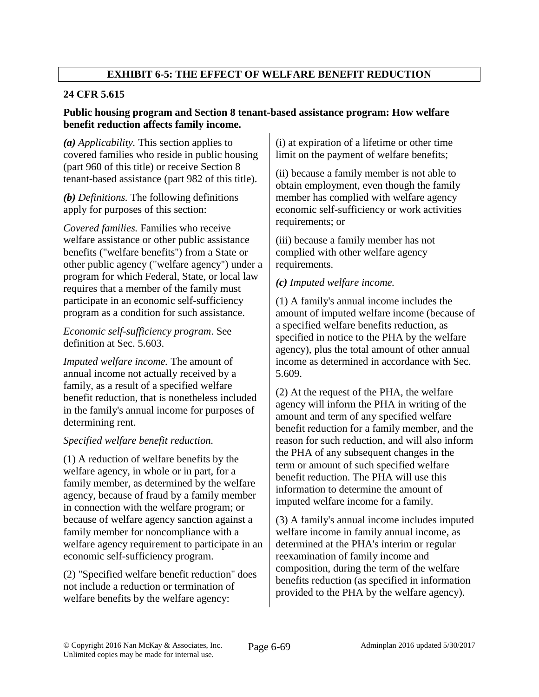# **EXHIBIT 6-5: THE EFFECT OF WELFARE BENEFIT REDUCTION**

# **24 CFR 5.615**

## **Public housing program and Section 8 tenant-based assistance program: How welfare benefit reduction affects family income.**

*(a) Applicability.* This section applies to covered families who reside in public housing (part 960 of this title) or receive Section 8 tenant-based assistance (part 982 of this title).

*(b) Definitions.* The following definitions apply for purposes of this section:

*Covered families.* Families who receive welfare assistance or other public assistance benefits ("welfare benefits'') from a State or other public agency ("welfare agency'') under a program for which Federal, State, or local law requires that a member of the family must participate in an economic self-sufficiency program as a condition for such assistance.

### *Economic self-sufficiency program*. See definition at Sec. 5.603.

*Imputed welfare income.* The amount of annual income not actually received by a family, as a result of a specified welfare benefit reduction, that is nonetheless included in the family's annual income for purposes of determining rent.

# *Specified welfare benefit reduction.*

(1) A reduction of welfare benefits by the welfare agency, in whole or in part, for a family member, as determined by the welfare agency, because of fraud by a family member in connection with the welfare program; or because of welfare agency sanction against a family member for noncompliance with a welfare agency requirement to participate in an economic self-sufficiency program.

(2) "Specified welfare benefit reduction'' does not include a reduction or termination of welfare benefits by the welfare agency:

(i) at expiration of a lifetime or other time limit on the payment of welfare benefits;

(ii) because a family member is not able to obtain employment, even though the family member has complied with welfare agency economic self-sufficiency or work activities requirements; or

(iii) because a family member has not complied with other welfare agency requirements.

# *(c) Imputed welfare income.*

(1) A family's annual income includes the amount of imputed welfare income (because of a specified welfare benefits reduction, as specified in notice to the PHA by the welfare agency), plus the total amount of other annual income as determined in accordance with Sec. 5.609.

(2) At the request of the PHA, the welfare agency will inform the PHA in writing of the amount and term of any specified welfare benefit reduction for a family member, and the reason for such reduction, and will also inform the PHA of any subsequent changes in the term or amount of such specified welfare benefit reduction. The PHA will use this information to determine the amount of imputed welfare income for a family.

(3) A family's annual income includes imputed welfare income in family annual income, as determined at the PHA's interim or regular reexamination of family income and composition, during the term of the welfare benefits reduction (as specified in information provided to the PHA by the welfare agency).